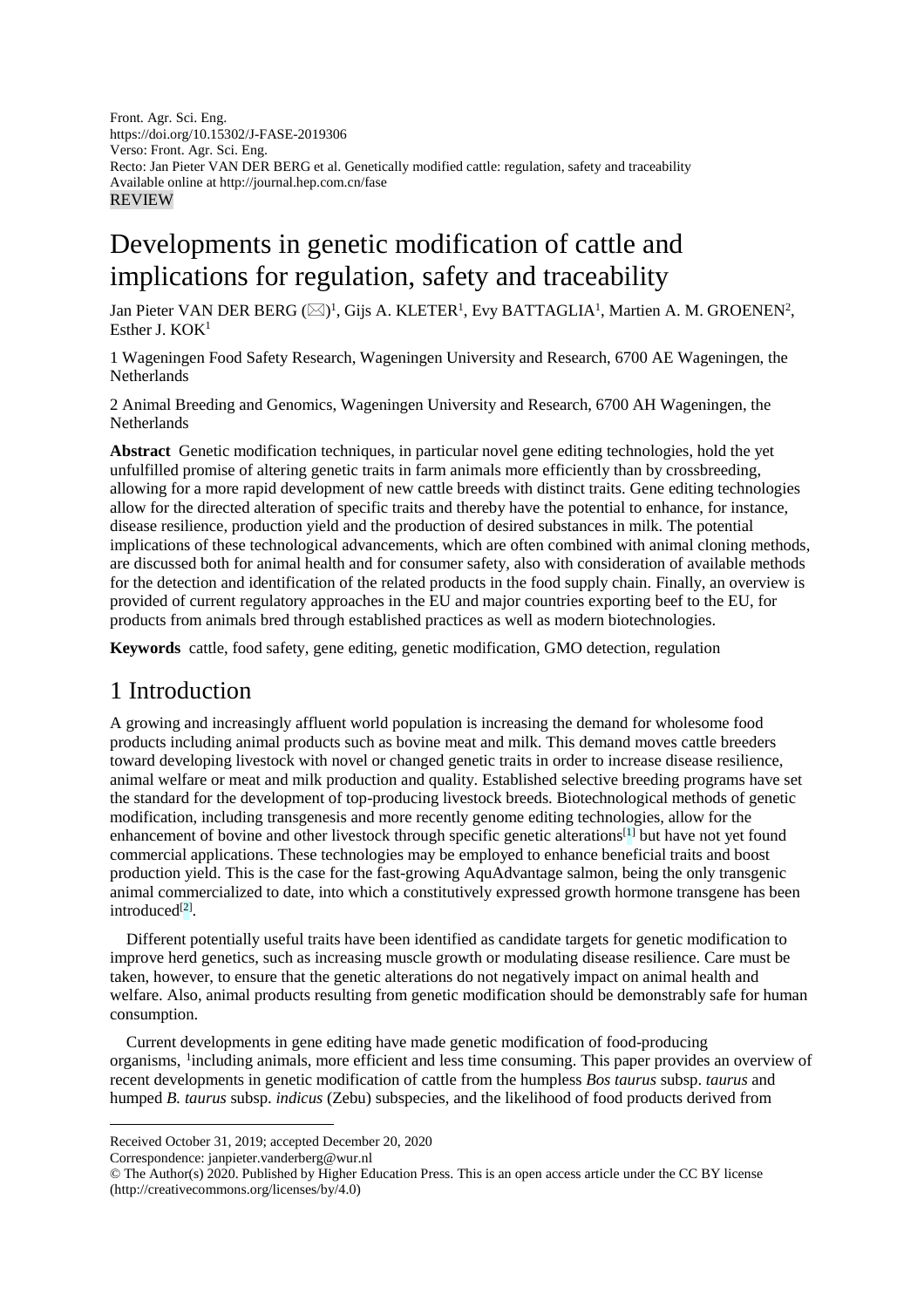Front. Agr. Sci. Eng. https://doi.org/10.15302/J-FASE-2019306 Verso: Front. Agr. Sci. Eng. Recto: Jan Pieter VAN DER BERG et al. Genetically modified cattle: regulation, safety and traceability Available online at http://journal.hep.com.cn/fase REVIEW

# Developments in genetic modification of cattle and implications for regulation, safety and traceability

Jan Pieter VAN DER BERG ( $\boxtimes$ )<sup>1</sup>, Gijs A. KLETER<sup>1</sup>, Evy BATTAGLIA<sup>1</sup>, Martien A. M. GROENEN<sup>2</sup>, Esther J. KOK<sup>1</sup>

1 Wageningen Food Safety Research, Wageningen University and Research, 6700 AE Wageningen, the Netherlands

2 Animal Breeding and Genomics, Wageningen University and Research, 6700 AH Wageningen, the **Netherlands** 

**Abstract** Genetic modification techniques, in particular novel gene editing technologies, hold the yet unfulfilled promise of altering genetic traits in farm animals more efficiently than by crossbreeding, allowing for a more rapid development of new cattle breeds with distinct traits. Gene editing technologies allow for the directed alteration of specific traits and thereby have the potential to enhance, for instance, disease resilience, production yield and the production of desired substances in milk. The potential implications of these technological advancements, which are often combined with animal cloning methods, are discussed both for animal health and for consumer safety, also with consideration of available methods for the detection and identification of the related products in the food supply chain. Finally, an overview is provided of current regulatory approaches in the EU and major countries exporting beef to the EU, for products from animals bred through established practices as well as modern biotechnologies.

**Keywords** cattle, food safety, gene editing, genetic modification, GMO detection, regulation

## 1 Introduction

A growing and increasingly affluent world population is increasing the demand for wholesome food products including animal products such as bovine meat and milk. This demand moves cattle breeders toward developing livestock with novel or changed genetic traits in order to increase disease resilience, animal welfare or meat and milk production and quality. Established selective breeding programs have set the standard for the development of top-producing livestock breeds. Biotechnological methods of genetic modification, including transgenesis and more recently genome editing technologies, allow for the enhancement of bovine and other livestock through specific genetic alterations[1] but have not yet found commercial applications. These technologies may be employed to enhance beneficial traits and boost production yield. This is the case for the fast-growing AquAdvantage salmon, being the only transgenic animal commercialized to date, into which a constitutively expressed growth hormone transgene has been introduced<sup>[2]</sup>.

Different potentially useful traits have been identified as candidate targets for genetic modification to improve herd genetics, such as increasing muscle growth or modulating disease resilience. Care must be taken, however, to ensure that the genetic alterations do not negatively impact on animal health and welfare. Also, animal products resulting from genetic modification should be demonstrably safe for human consumption.

Current developments in gene editing have made genetic modification of food-producing organisms, [1](#page-0-0)including animals, more efficient and less time consuming. This paper provides an overview of recent developments in genetic modification of cattle from the humpless *Bos taurus* subsp. *taurus* and humped *B. taurus* subsp. *indicus* (Zebu) subspecies, and the likelihood of food products derived from

 $\overline{a}$ 

<span id="page-0-0"></span>Received October 31, 2019; accepted December 20, 2020

Correspondence: janpieter.vanderberg@wur.nl

<sup>©</sup> The Author(s) 2020. Published by Higher Education Press. This is an open access article under the CC BY license [\(http://creativecommons.org/licenses/by/4.0\)](http://creativecommons.org/licenses/by/4.0)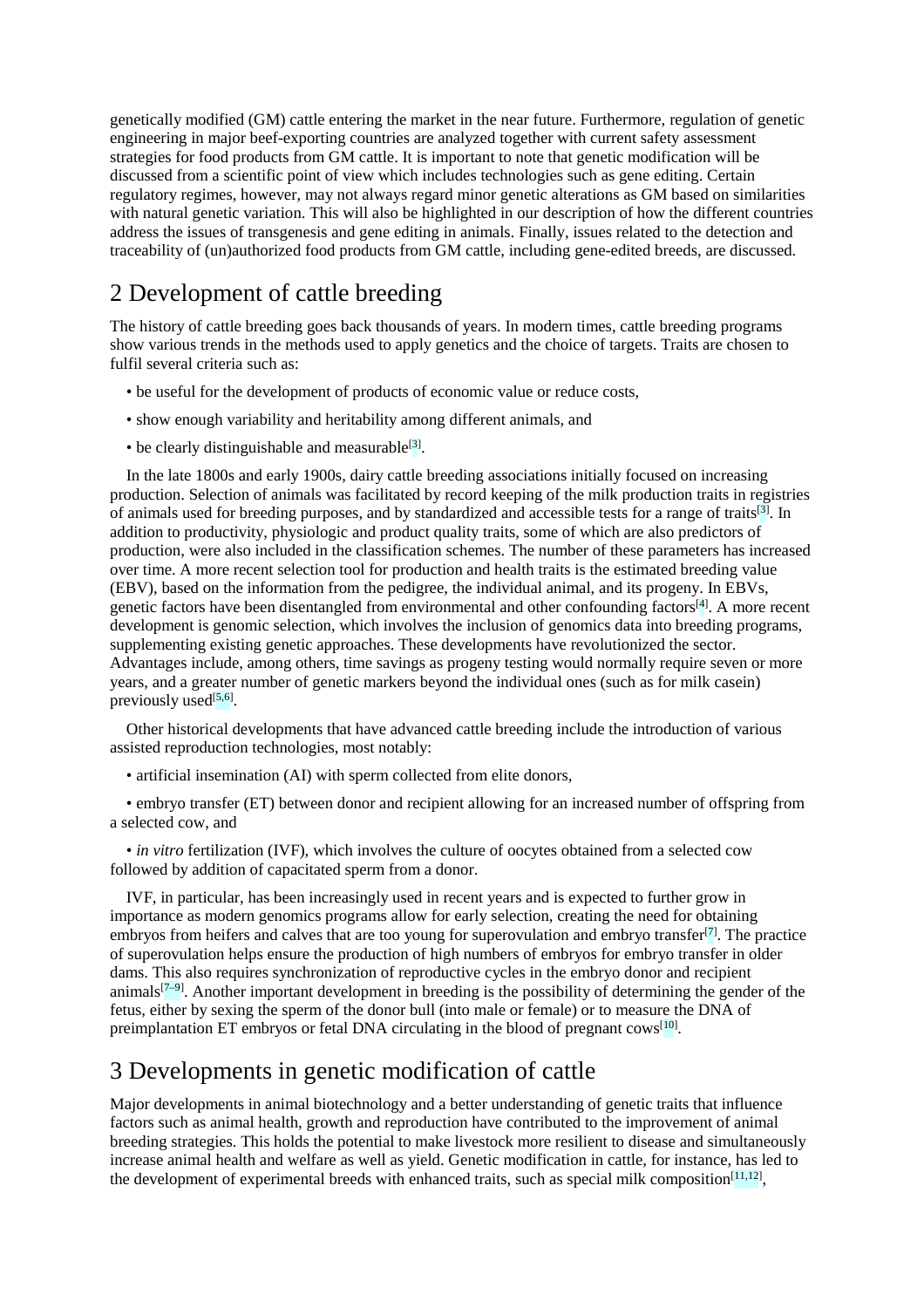genetically modified (GM) cattle entering the market in the near future. Furthermore, regulation of genetic engineering in major beef-exporting countries are analyzed together with current safety assessment strategies for food products from GM cattle. It is important to note that genetic modification will be discussed from a scientific point of view which includes technologies such as gene editing. Certain regulatory regimes, however, may not always regard minor genetic alterations as GM based on similarities with natural genetic variation. This will also be highlighted in our description of how the different countries address the issues of transgenesis and gene editing in animals. Finally, issues related to the detection and traceability of (un)authorized food products from GM cattle, including gene-edited breeds, are discussed.

## 2 Development of cattle breeding

The history of cattle breeding goes back thousands of years. In modern times, cattle breeding programs show various trends in the methods used to apply genetics and the choice of targets. Traits are chosen to fulfil several criteria such as:

- be useful for the development of products of economic value or reduce costs,
- show enough variability and heritability among different animals, and
- be clearly distinguishable and measurable<sup>[3]</sup>.

In the late 1800s and early 1900s, dairy cattle breeding associations initially focused on increasing production. Selection of animals was facilitated by record keeping of the milk production traits in registries of animals used for breeding purposes, and by standardized and accessible tests for a range of traits<sup>[3]</sup>. In addition to productivity, physiologic and product quality traits, some of which are also predictors of production, were also included in the classification schemes. The number of these parameters has increased over time. A more recent selection tool for production and health traits is the estimated breeding value (EBV), based on the information from the pedigree, the individual animal, and its progeny. In EBVs, genetic factors have been disentangled from environmental and other confounding factors<sup>[4]</sup>. A more recent development is genomic selection, which involves the inclusion of genomics data into breeding programs, supplementing existing genetic approaches. These developments have revolutionized the sector. Advantages include, among others, time savings as progeny testing would normally require seven or more years, and a greater number of genetic markers beyond the individual ones (such as for milk casein) previously used<sup>[5,6]</sup>.

Other historical developments that have advanced cattle breeding include the introduction of various assisted reproduction technologies, most notably:

• artificial insemination (AI) with sperm collected from elite donors,

• embryo transfer (ET) between donor and recipient allowing for an increased number of offspring from a selected cow, and

• *in vitro* fertilization (IVF), which involves the culture of oocytes obtained from a selected cow followed by addition of capacitated sperm from a donor.

IVF, in particular, has been increasingly used in recent years and is expected to further grow in importance as modern genomics programs allow for early selection, creating the need for obtaining embryos from heifers and calves that are too young for superovulation and embryo transfer<sup>[7]</sup>. The practice of superovulation helps ensure the production of high numbers of embryos for embryo transfer in older dams. This also requires synchronization of reproductive cycles in the embryo donor and recipient animals<sup>[7–9]</sup>. Another important development in breeding is the possibility of determining the gender of the fetus, either by sexing the sperm of the donor bull (into male or female) or to measure the DNA of preimplantation ET embryos or fetal DNA circulating in the blood of pregnant cows<sup>[10]</sup>.

## 3 Developments in genetic modification of cattle

Major developments in animal biotechnology and a better understanding of genetic traits that influence factors such as animal health, growth and reproduction have contributed to the improvement of animal breeding strategies. This holds the potential to make livestock more resilient to disease and simultaneously increase animal health and welfare as well as yield. Genetic modification in cattle, for instance, has led to the development of experimental breeds with enhanced traits, such as special milk composition<sup>[11,12]</sup>,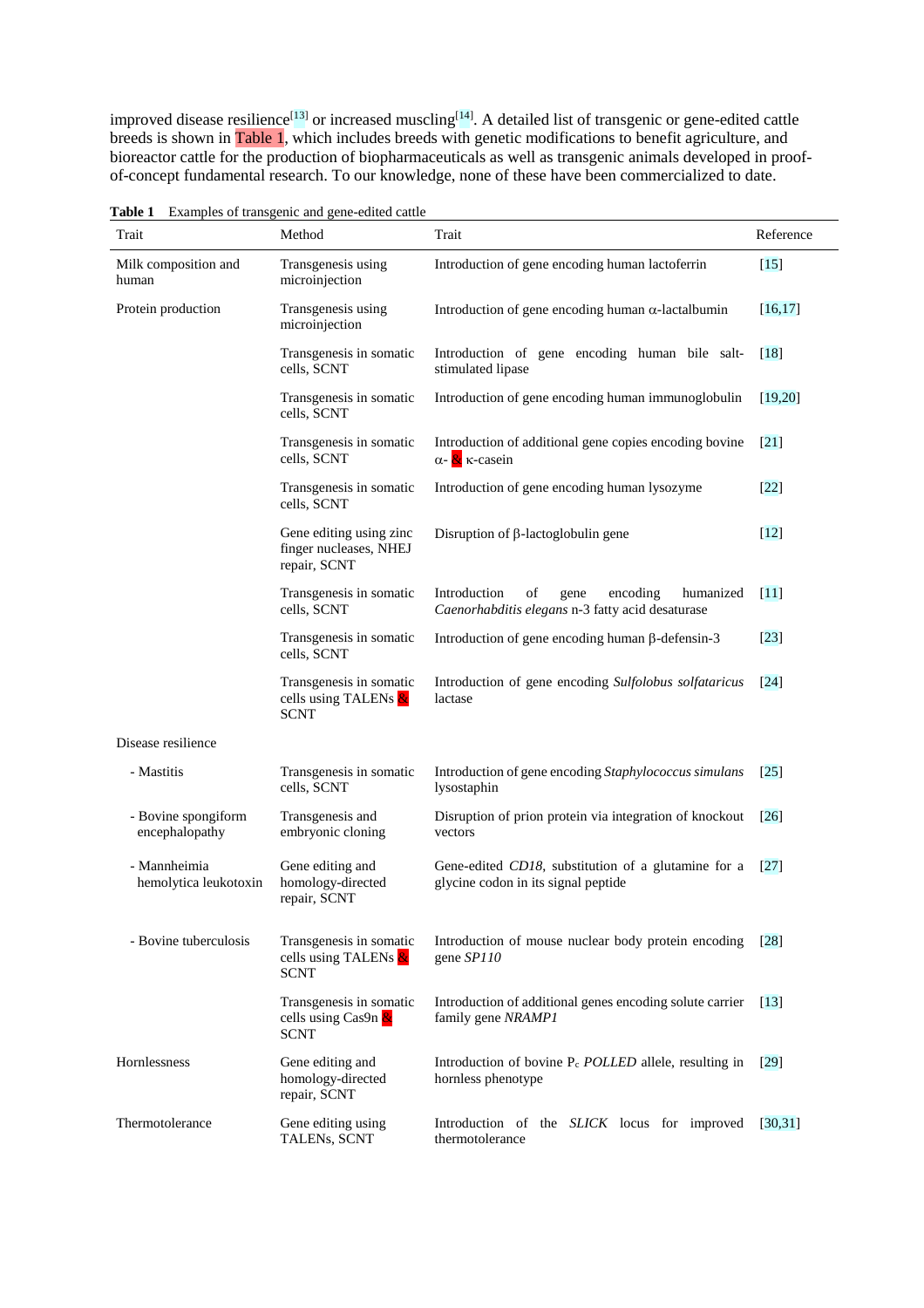improved disease resilience<sup>[13]</sup> or increased muscling<sup>[14]</sup>. A detailed list of transgenic or gene-edited cattle breeds is shown in Table 1, which includes breeds with genetic modifications to benefit agriculture, and bioreactor cattle for the production of biopharmaceuticals as well as transgenic animals developed in proofof-concept fundamental research. To our knowledge, none of these have been commercialized to date.

| Trait                                 | <b>Examples</b> of transgeme and gene earlied eating<br>Method    | Trait                                                                                                   | Reference          |
|---------------------------------------|-------------------------------------------------------------------|---------------------------------------------------------------------------------------------------------|--------------------|
| Milk composition and<br>human         | Transgenesis using<br>microinjection                              | Introduction of gene encoding human lactoferrin                                                         | $\lceil 15 \rceil$ |
| Protein production                    | Transgenesis using<br>microinjection                              | Introduction of gene encoding human $\alpha$ -lactal<br>bumin                                           | [16, 17]           |
|                                       | Transgenesis in somatic<br>cells, SCNT                            | Introduction of gene encoding human bile salt-<br>stimulated lipase                                     | [18]               |
|                                       | Transgenesis in somatic<br>cells, SCNT                            | Introduction of gene encoding human immunoglobulin                                                      | [19, 20]           |
|                                       | Transgenesis in somatic<br>cells, SCNT                            | Introduction of additional gene copies encoding bovine<br>$\alpha$ - $\alpha$ $\kappa$ -casein          | $\left[21\right]$  |
|                                       | Transgenesis in somatic<br>cells, SCNT                            | Introduction of gene encoding human lysozyme                                                            | $[22]$             |
|                                       | Gene editing using zinc<br>finger nucleases, NHEJ<br>repair, SCNT | Disruption of $\beta$ -lactoglobulin gene                                                               | $[12]$             |
|                                       | Transgenesis in somatic<br>cells, SCNT                            | Introduction<br>of<br>gene<br>encoding<br>humanized<br>Caenorhabditis elegans n-3 fatty acid desaturase | $\lceil 11 \rceil$ |
|                                       | Transgenesis in somatic<br>cells, SCNT                            | Introduction of gene encoding human $\beta$ -defensin-3                                                 | $[23]$             |
|                                       | Transgenesis in somatic<br>cells using TALENs &<br><b>SCNT</b>    | Introduction of gene encoding Sulfolobus solfataricus<br>lactase                                        | $\lceil 24 \rceil$ |
| Disease resilience                    |                                                                   |                                                                                                         |                    |
| - Mastitis                            | Transgenesis in somatic<br>cells, SCNT                            | Introduction of gene encoding Staphylococcus simulans<br>lysostaphin                                    | $\lceil 25 \rceil$ |
| - Bovine spongiform<br>encephalopathy | Transgenesis and<br>embryonic cloning                             | Disruption of prion protein via integration of knockout<br>vectors                                      | $\lceil 26 \rceil$ |
| - Mannheimia<br>hemolytica leukotoxin | Gene editing and<br>homology-directed<br>repair, SCNT             | Gene-edited CD18, substitution of a glutamine for a<br>glycine codon in its signal peptide              | $\left[27\right]$  |
| - Bovine tuberculosis                 | Transgenesis in somatic<br>cells using TALENs &<br><b>SCNT</b>    | Introduction of mouse nuclear body protein encoding<br>gene SP110                                       | [28]               |
|                                       | Transgenesis in somatic<br>cells using Cas9n $\&$<br><b>SCNT</b>  | Introduction of additional genes encoding solute carrier<br>family gene NRAMP1                          | $\lceil 13 \rceil$ |
| Hornlessness                          | Gene editing and<br>homology-directed<br>repair, SCNT             | Introduction of bovine $P_c$ <i>POLLED</i> allele, resulting in<br>hornless phenotype                   | [29]               |
| Thermotolerance                       | Gene editing using<br>TALENs, SCNT                                | Introduction of the SLICK locus for improved<br>thermotolerance                                         | [30, 31]           |

**Table 1** Examples of transgenic and gene-edited cattle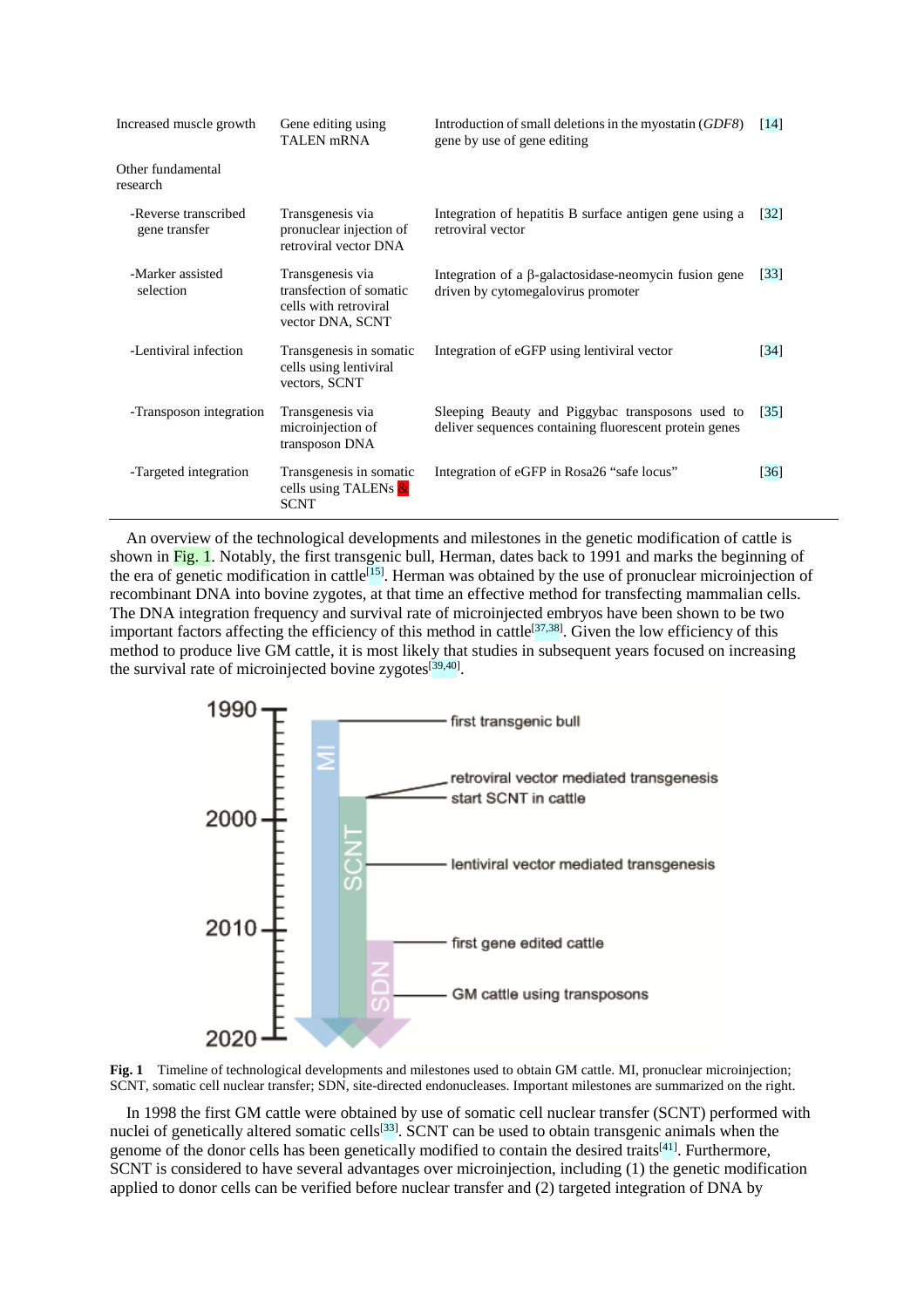| Increased muscle growth               | Gene editing using<br>TALEN <sub>mRNA</sub>                                              | Introduction of small deletions in the myostatin (GDF8)<br>gene by use of gene editing                     | $\lceil 14 \rceil$ |
|---------------------------------------|------------------------------------------------------------------------------------------|------------------------------------------------------------------------------------------------------------|--------------------|
| Other fundamental<br>research         |                                                                                          |                                                                                                            |                    |
| -Reverse transcribed<br>gene transfer | Transgenesis via<br>pronuclear injection of<br>retroviral vector DNA                     | Integration of hepatitis B surface antigen gene using a<br>retroviral vector                               | [32]               |
| -Marker assisted<br>selection         | Transgenesis via<br>transfection of somatic<br>cells with retroviral<br>vector DNA, SCNT | Integration of a $\beta$ -galactosidase-neomycin fusion gene<br>driven by cytomegalovirus promoter         | $\lceil 33 \rceil$ |
| -Lentiviral infection                 | Transgenesis in somatic<br>cells using lentiviral<br>vectors, SCNT                       | Integration of eGFP using lentiviral vector                                                                | $\lceil 34 \rceil$ |
| -Transposon integration               | Transgenesis via<br>microinjection of<br>transposon DNA                                  | Sleeping Beauty and Piggybac transposons used to<br>deliver sequences containing fluorescent protein genes | $\lceil 35 \rceil$ |
| -Targeted integration                 | Transgenesis in somatic<br>cells using TALENs &<br><b>SCNT</b>                           | Integration of eGFP in Rosa26 "safe locus"                                                                 | $\lceil 36 \rceil$ |

An overview of the technological developments and milestones in the genetic modification of cattle is shown in Fig. 1. Notably, the first transgenic bull, Herman, dates back to 1991 and marks the beginning of the era of genetic modification in cattle<sup>[15]</sup>. Herman was obtained by the use of pronuclear microinjection of recombinant DNA into bovine zygotes, at that time an effective method for transfecting mammalian cells. The DNA integration frequency and survival rate of microinjected embryos have been shown to be two important factors affecting the efficiency of this method in cattle<sup>[37,38]</sup>. Given the low efficiency of this method to produce live GM cattle, it is most likely that studies in subsequent years focused on increasing the survival rate of microinjected bovine zygotes<sup>[39,40]</sup>.





In 1998 the first GM cattle were obtained by use of somatic cell nuclear transfer (SCNT) performed with nuclei of genetically altered somatic cells<sup>[33]</sup>. SCNT can be used to obtain transgenic animals when the genome of the donor cells has been genetically modified to contain the desired traits<sup>[41]</sup>. Furthermore, SCNT is considered to have several advantages over microinjection, including (1) the genetic modification applied to donor cells can be verified before nuclear transfer and (2) targeted integration of DNA by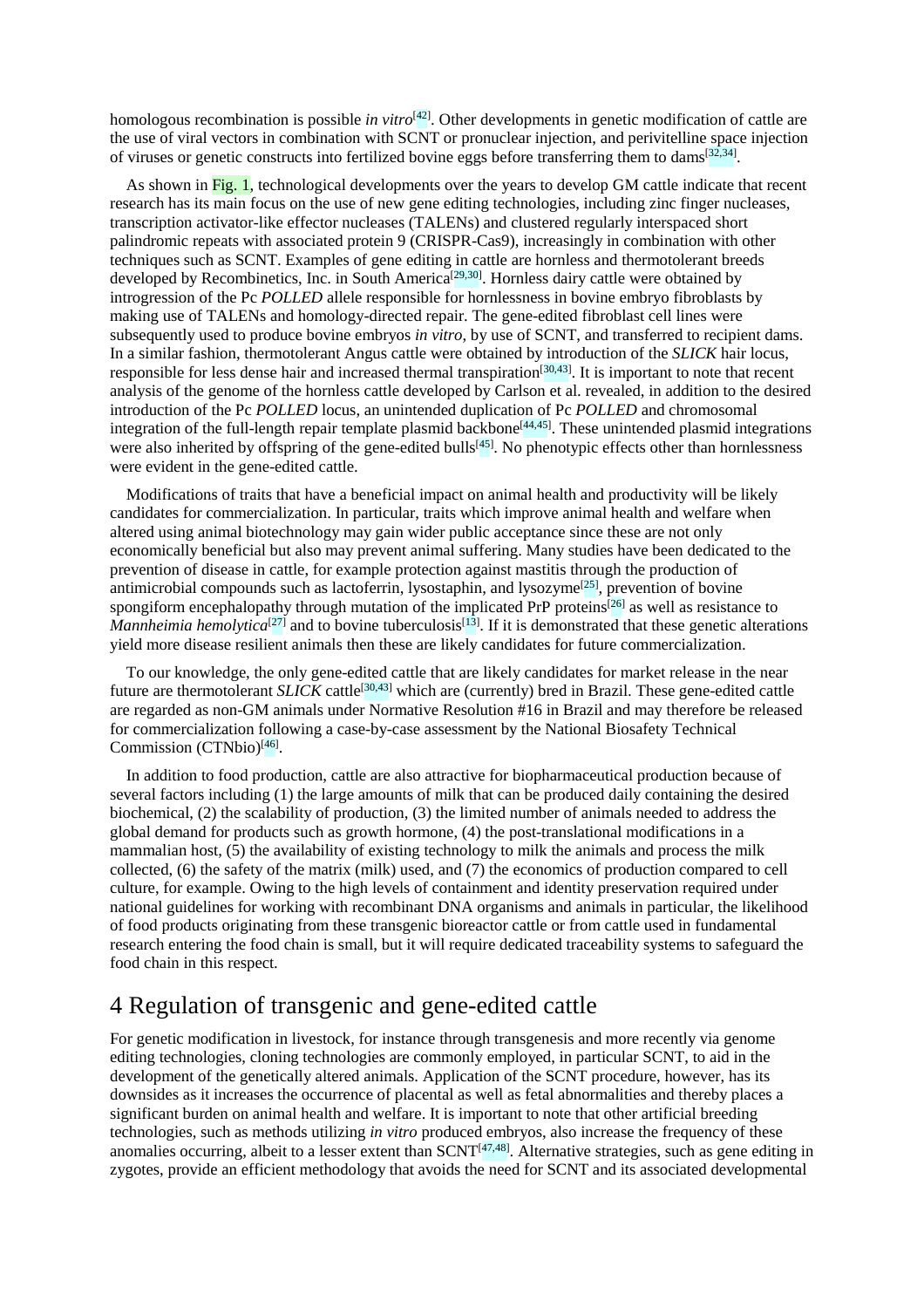homologous recombination is possible *in vitro*<sup>[42]</sup>. Other developments in genetic modification of cattle are the use of viral vectors in combination with SCNT or pronuclear injection, and perivitelline space injection of viruses or genetic constructs into fertilized bovine eggs before transferring them to dams<sup>[32,34]</sup>.

As shown in Fig. 1, technological developments over the years to develop GM cattle indicate that recent research has its main focus on the use of new gene editing technologies, including zinc finger nucleases, transcription activator-like effector nucleases (TALENs) and clustered regularly interspaced short palindromic repeats with associated protein 9 (CRISPR-Cas9), increasingly in combination with other techniques such as SCNT. Examples of gene editing in cattle are hornless and thermotolerant breeds developed by Recombinetics, Inc. in South America<sup>[29,30]</sup>. Hornless dairy cattle were obtained by introgression of the Pc *POLLED* allele responsible for hornlessness in bovine embryo fibroblasts by making use of TALENs and homology-directed repair. The gene-edited fibroblast cell lines were subsequently used to produce bovine embryos *in vitro*, by use of SCNT, and transferred to recipient dams. In a similar fashion, thermotolerant Angus cattle were obtained by introduction of the *SLICK* hair locus, responsible for less dense hair and increased thermal transpiration<sup>[30,43]</sup>. It is important to note that recent analysis of the genome of the hornless cattle developed by Carlson et al. revealed, in addition to the desired introduction of the Pc *POLLED* locus, an unintended duplication of Pc *POLLED* and chromosomal integration of the full-length repair template plasmid backbone<sup>[44,45]</sup>. These unintended plasmid integrations were also inherited by offspring of the gene-edited bulls<sup>[45]</sup>. No phenotypic effects other than hornlessness were evident in the gene-edited cattle.

Modifications of traits that have a beneficial impact on animal health and productivity will be likely candidates for commercialization. In particular, traits which improve animal health and welfare when altered using animal biotechnology may gain wider public acceptance since these are not only economically beneficial but also may prevent animal suffering. Many studies have been dedicated to the prevention of disease in cattle, for example protection against mastitis through the production of antimicrobial compounds such as lactoferrin, lysostaphin, and lysozyme<sup>[25]</sup>, prevention of bovine spongiform encephalopathy through mutation of the implicated PrP proteins<sup>[26]</sup> as well as resistance to *Mannheimia hemolytica*<sup>[27]</sup> and to bovine tuberculosis<sup>[13]</sup>. If it is demonstrated that these genetic alterations yield more disease resilient animals then these are likely candidates for future commercialization.

To our knowledge, the only gene-edited cattle that are likely candidates for market release in the near future are thermotolerant *SLICK* cattle<sup>[30,43]</sup> which are (currently) bred in Brazil. These gene-edited cattle are regarded as non-GM animals under Normative Resolution #16 in Brazil and may therefore be released for commercialization following a case-by-case assessment by the National Biosafety Technical Commission (CTNbio)<sup>[46]</sup>.

In addition to food production, cattle are also attractive for biopharmaceutical production because of several factors including (1) the large amounts of milk that can be produced daily containing the desired biochemical, (2) the scalability of production, (3) the limited number of animals needed to address the global demand for products such as growth hormone, (4) the post-translational modifications in a mammalian host, (5) the availability of existing technology to milk the animals and process the milk collected, (6) the safety of the matrix (milk) used, and (7) the economics of production compared to cell culture, for example. Owing to the high levels of containment and identity preservation required under national guidelines for working with recombinant DNA organisms and animals in particular, the likelihood of food products originating from these transgenic bioreactor cattle or from cattle used in fundamental research entering the food chain is small, but it will require dedicated traceability systems to safeguard the food chain in this respect.

### 4 Regulation of transgenic and gene-edited cattle

For genetic modification in livestock, for instance through transgenesis and more recently via genome editing technologies, cloning technologies are commonly employed, in particular SCNT, to aid in the development of the genetically altered animals. Application of the SCNT procedure, however, has its downsides as it increases the occurrence of placental as well as fetal abnormalities and thereby places a significant burden on animal health and welfare. It is important to note that other artificial breeding technologies, such as methods utilizing *in vitro* produced embryos, also increase the frequency of these anomalies occurring, albeit to a lesser extent than  $SCNT^{[47,48]}$ . Alternative strategies, such as gene editing in zygotes, provide an efficient methodology that avoids the need for SCNT and its associated developmental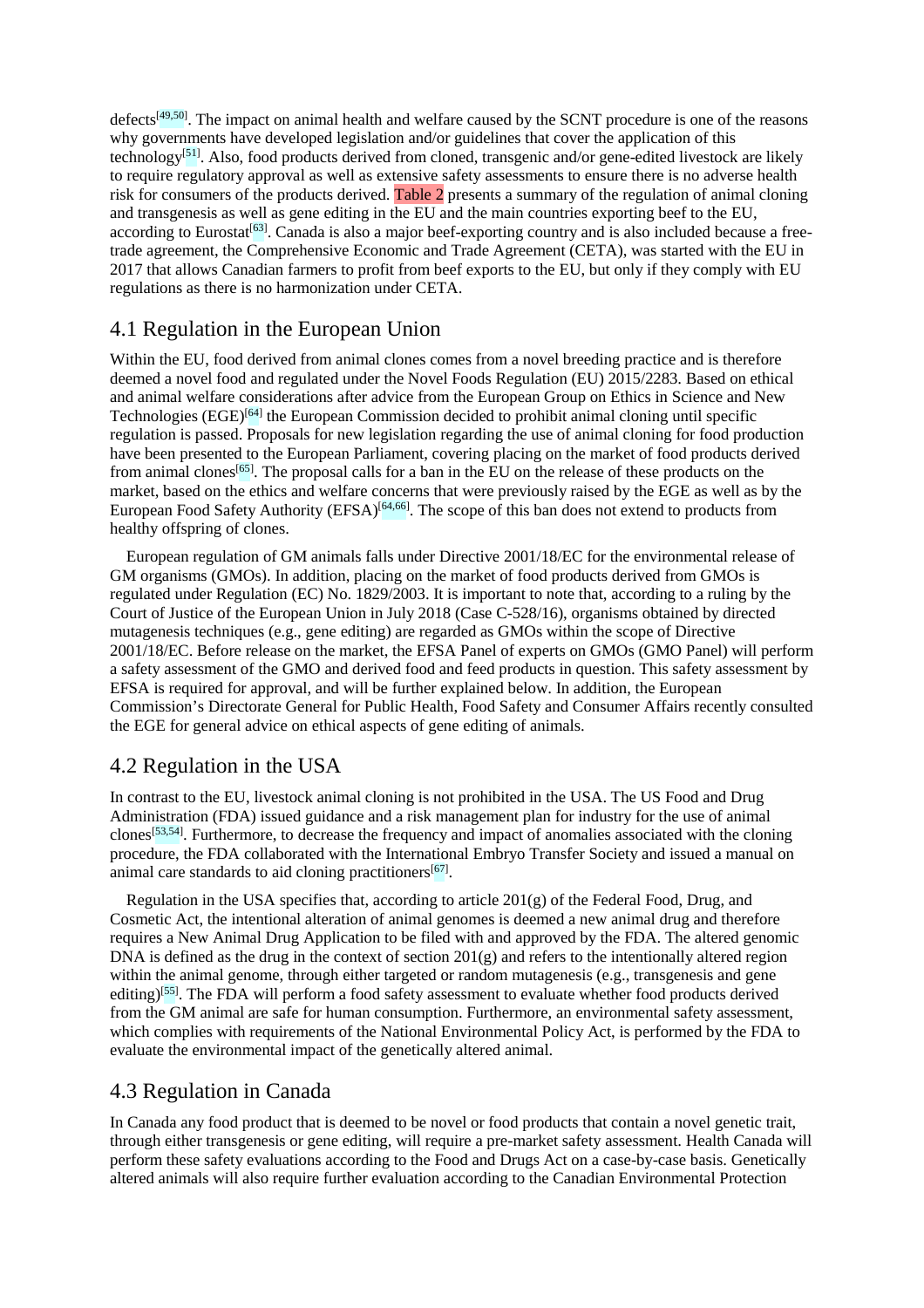defects<sup>[49,50]</sup>. The impact on animal health and welfare caused by the SCNT procedure is one of the reasons why governments have developed legislation and/or guidelines that cover the application of this technology<sup>[51]</sup>. Also, food products derived from cloned, transgenic and/or gene-edited livestock are likely to require regulatory approval as well as extensive safety assessments to ensure there is no adverse health risk for consumers of the products derived. Table 2 presents a summary of the regulation of animal cloning and transgenesis as well as gene editing in the EU and the main countries exporting beef to the EU, according to Eurostat<sup>[63]</sup>. Canada is also a major beef-exporting country and is also included because a freetrade agreement, the Comprehensive Economic and Trade Agreement (CETA), was started with the EU in 2017 that allows Canadian farmers to profit from beef exports to the EU, but only if they comply with EU regulations as there is no harmonization under CETA.

#### 4.1 Regulation in the European Union

Within the EU, food derived from animal clones comes from a novel breeding practice and is therefore deemed a novel food and regulated under the Novel Foods Regulation (EU) 2015/2283. Based on ethical and animal welfare considerations after advice from the European Group on Ethics in Science and New Technologies (EGE)<sup>[64]</sup> the European Commission decided to prohibit animal cloning until specific regulation is passed. Proposals for new legislation regarding the use of animal cloning for food production have been presented to the European Parliament, covering placing on the market of food products derived from animal clones<sup>[65]</sup>. The proposal calls for a ban in the EU on the release of these products on the market, based on the ethics and welfare concerns that were previously raised by the EGE as well as by the European Food Safety Authority (EFSA)<sup>[64,66]</sup>. The scope of this ban does not extend to products from healthy offspring of clones.

European regulation of GM animals falls under Directive 2001/18/EC for the environmental release of GM organisms (GMOs). In addition, placing on the market of food products derived from GMOs is regulated under Regulation (EC) No. 1829/2003. It is important to note that, according to a ruling by the Court of Justice of the European Union in July 2018 (Case C-528/16), organisms obtained by directed mutagenesis techniques (e.g., gene editing) are regarded as GMOs within the scope of Directive 2001/18/EC. Before release on the market, the EFSA Panel of experts on GMOs (GMO Panel) will perform a safety assessment of the GMO and derived food and feed products in question. This safety assessment by EFSA is required for approval, and will be further explained below. In addition, the European Commission's Directorate General for Public Health, Food Safety and Consumer Affairs recently consulted the EGE for general advice on ethical aspects of gene editing of animals.

#### 4.2 Regulation in the USA

In contrast to the EU, livestock animal cloning is not prohibited in the USA. The US Food and Drug Administration (FDA) issued guidance and a risk management plan for industry for the use of animal clones<sup>[53,54]</sup>. Furthermore, to decrease the frequency and impact of anomalies associated with the cloning procedure, the FDA collaborated with the International Embryo Transfer Society and issued a manual on animal care standards to aid cloning practitioners<sup>[67]</sup>.

Regulation in the USA specifies that, according to article  $201(g)$  of the Federal Food, Drug, and Cosmetic Act, the intentional alteration of animal genomes is deemed a new animal drug and therefore requires a New Animal Drug Application to be filed with and approved by the FDA. The altered genomic DNA is defined as the drug in the context of section 201(g) and refers to the intentionally altered region within the animal genome, through either targeted or random mutagenesis (e.g., transgenesis and gene editing)<sup>[55]</sup>. The FDA will perform a food safety assessment to evaluate whether food products derived from the GM animal are safe for human consumption. Furthermore, an environmental safety assessment, which complies with requirements of the National Environmental Policy Act, is performed by the FDA to evaluate the environmental impact of the genetically altered animal.

#### 4.3 Regulation in Canada

In Canada any food product that is deemed to be novel or food products that contain a novel genetic trait, through either transgenesis or gene editing, will require a pre-market safety assessment. Health Canada will perform these safety evaluations according to the Food and Drugs Act on a case-by-case basis. Genetically altered animals will also require further evaluation according to the Canadian Environmental Protection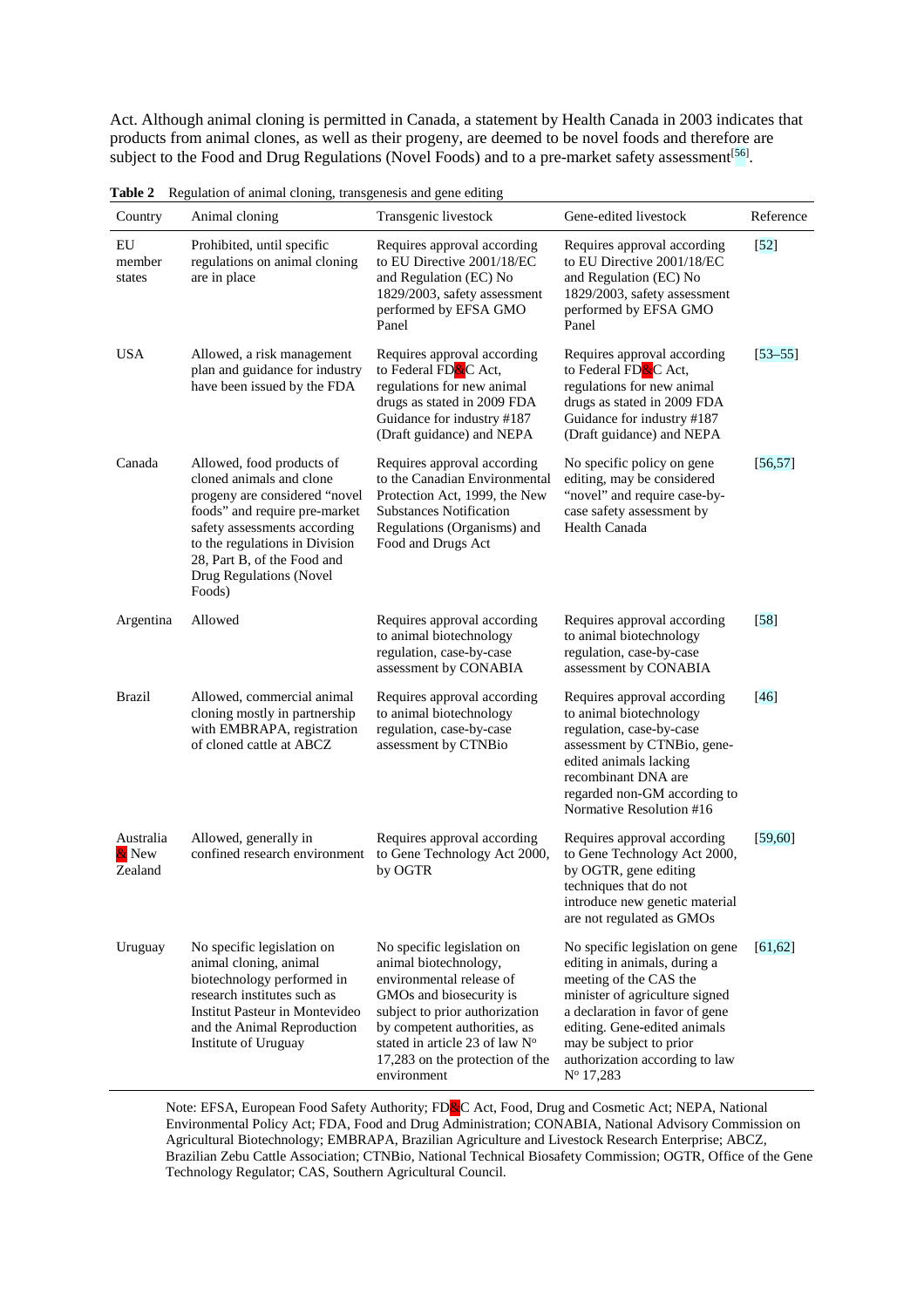Act. Although animal cloning is permitted in Canada, a statement by Health Canada in 2003 indicates that products from animal clones, as well as their progeny, are deemed to be novel foods and therefore are subject to the Food and Drug Regulations (Novel Foods) and to a pre-market safety assessment<sup>[56]</sup>.

| Country                       | Animal cloning                                                                                                                                                                                                                                                | Transgenic livestock                                                                                                                                                                                                                                             | Gene-edited livestock                                                                                                                                                                                                                                                            | Reference   |
|-------------------------------|---------------------------------------------------------------------------------------------------------------------------------------------------------------------------------------------------------------------------------------------------------------|------------------------------------------------------------------------------------------------------------------------------------------------------------------------------------------------------------------------------------------------------------------|----------------------------------------------------------------------------------------------------------------------------------------------------------------------------------------------------------------------------------------------------------------------------------|-------------|
| EU<br>member<br>states        | Prohibited, until specific<br>regulations on animal cloning<br>are in place                                                                                                                                                                                   | Requires approval according<br>to EU Directive 2001/18/EC<br>and Regulation (EC) No<br>1829/2003, safety assessment<br>performed by EFSA GMO<br>Panel                                                                                                            | Requires approval according<br>to EU Directive 2001/18/EC<br>and Regulation (EC) No<br>1829/2003, safety assessment<br>performed by EFSA GMO<br>Panel                                                                                                                            | $[52]$      |
| <b>USA</b>                    | Allowed, a risk management<br>plan and guidance for industry<br>have been issued by the FDA                                                                                                                                                                   | Requires approval according<br>to Federal FD <mark>&amp;</mark> C Act,<br>regulations for new animal<br>drugs as stated in 2009 FDA<br>Guidance for industry #187<br>(Draft guidance) and NEPA                                                                   | Requires approval according<br>to Federal FD <mark>&amp;</mark> C Act,<br>regulations for new animal<br>drugs as stated in 2009 FDA<br>Guidance for industry #187<br>(Draft guidance) and NEPA                                                                                   | $[53 - 55]$ |
| Canada                        | Allowed, food products of<br>cloned animals and clone<br>progeny are considered "novel<br>foods" and require pre-market<br>safety assessments according<br>to the regulations in Division<br>28, Part B, of the Food and<br>Drug Regulations (Novel<br>Foods) | Requires approval according<br>to the Canadian Environmental<br>Protection Act, 1999, the New<br><b>Substances Notification</b><br>Regulations (Organisms) and<br>Food and Drugs Act                                                                             | No specific policy on gene<br>editing, may be considered<br>"novel" and require case-by-<br>case safety assessment by<br><b>Health Canada</b>                                                                                                                                    | [56, 57]    |
| Argentina                     | Allowed                                                                                                                                                                                                                                                       | Requires approval according<br>to animal biotechnology<br>regulation, case-by-case<br>assessment by CONABIA                                                                                                                                                      | Requires approval according<br>to animal biotechnology<br>regulation, case-by-case<br>assessment by CONABIA                                                                                                                                                                      | [58]        |
| <b>Brazil</b>                 | Allowed, commercial animal<br>cloning mostly in partnership<br>with EMBRAPA, registration<br>of cloned cattle at ABCZ                                                                                                                                         | Requires approval according<br>to animal biotechnology<br>regulation, case-by-case<br>assessment by CTNBio                                                                                                                                                       | Requires approval according<br>to animal biotechnology<br>regulation, case-by-case<br>assessment by CTNBio, gene-<br>edited animals lacking<br>recombinant DNA are<br>regarded non-GM according to<br>Normative Resolution #16                                                   | [46]        |
| Australia<br>& New<br>Zealand | Allowed, generally in<br>confined research environment                                                                                                                                                                                                        | Requires approval according<br>to Gene Technology Act 2000,<br>by OGTR                                                                                                                                                                                           | Requires approval according<br>to Gene Technology Act 2000,<br>by OGTR, gene editing<br>techniques that do not<br>introduce new genetic material<br>are not regulated as GMOs                                                                                                    | $[59,60]$   |
| Uruguay                       | No specific legislation on<br>animal cloning, animal<br>biotechnology performed in<br>research institutes such as<br>Institut Pasteur in Montevideo<br>and the Animal Reproduction<br>Institute of Uruguay                                                    | No specific legislation on<br>animal biotechnology,<br>environmental release of<br>GMOs and biosecurity is<br>subject to prior authorization<br>by competent authorities, as<br>stated in article 23 of law N°<br>17,283 on the protection of the<br>environment | No specific legislation on gene<br>editing in animals, during a<br>meeting of the CAS the<br>minister of agriculture signed<br>a declaration in favor of gene<br>editing. Gene-edited animals<br>may be subject to prior<br>authorization according to law<br>$N^{\rm o}$ 17,283 | [61, 62]    |

**Table 2** Regulation of animal cloning, transgenesis and gene editing

Note: EFSA, European Food Safety Authority; FD&C Act, Food, Drug and Cosmetic Act; NEPA, National Environmental Policy Act; FDA, Food and Drug Administration; CONABIA, National Advisory Commission on Agricultural Biotechnology; EMBRAPA, Brazilian Agriculture and Livestock Research Enterprise; ABCZ, Brazilian Zebu Cattle Association; CTNBio, National Technical Biosafety Commission; OGTR, Office of the Gene Technology Regulator; CAS, Southern Agricultural Council.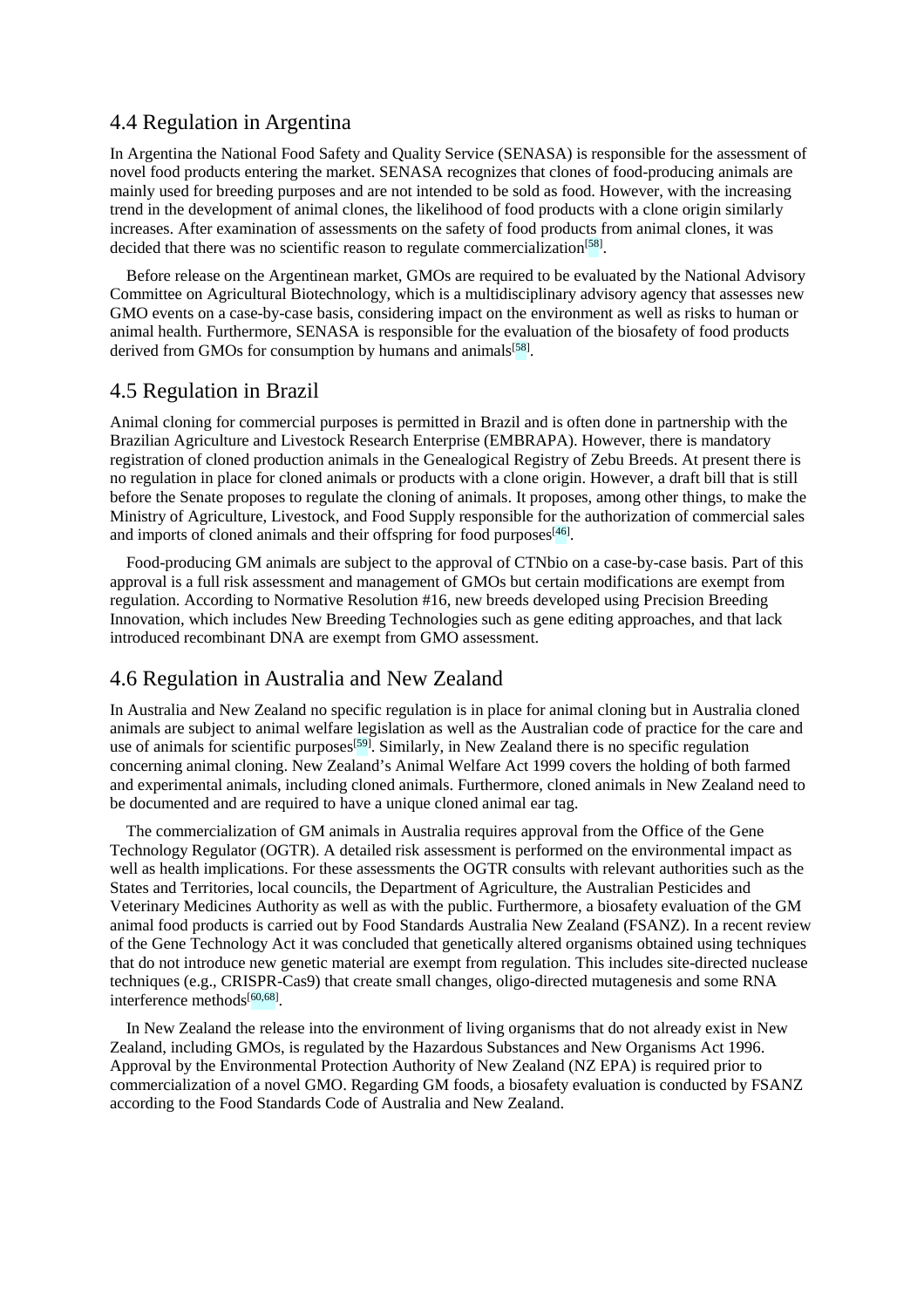#### 4.4 Regulation in Argentina

In Argentina the National Food Safety and Quality Service (SENASA) is responsible for the assessment of novel food products entering the market. SENASA recognizes that clones of food-producing animals are mainly used for breeding purposes and are not intended to be sold as food. However, with the increasing trend in the development of animal clones, the likelihood of food products with a clone origin similarly increases. After examination of assessments on the safety of food products from animal clones, it was decided that there was no scientific reason to regulate commercialization<sup>[58]</sup>.

Before release on the Argentinean market, GMOs are required to be evaluated by the National Advisory Committee on Agricultural Biotechnology, which is a multidisciplinary advisory agency that assesses new GMO events on a case-by-case basis, considering impact on the environment as well as risks to human or animal health. Furthermore, SENASA is responsible for the evaluation of the biosafety of food products derived from GMOs for consumption by humans and animals<sup>[58]</sup>.

#### 4.5 Regulation in Brazil

Animal cloning for commercial purposes is permitted in Brazil and is often done in partnership with the Brazilian Agriculture and Livestock Research Enterprise (EMBRAPA). However, there is mandatory registration of cloned production animals in the Genealogical Registry of Zebu Breeds. At present there is no regulation in place for cloned animals or products with a clone origin. However, a draft bill that is still before the Senate proposes to regulate the cloning of animals. It proposes, among other things, to make the Ministry of Agriculture, Livestock, and Food Supply responsible for the authorization of commercial sales and imports of cloned animals and their offspring for food purposes<sup>[46]</sup>.

Food-producing GM animals are subject to the approval of CTNbio on a case-by-case basis. Part of this approval is a full risk assessment and management of GMOs but certain modifications are exempt from regulation. According to Normative Resolution #16, new breeds developed using Precision Breeding Innovation, which includes New Breeding Technologies such as gene editing approaches, and that lack introduced recombinant DNA are exempt from GMO assessment.

#### 4.6 Regulation in Australia and New Zealand

In Australia and New Zealand no specific regulation is in place for animal cloning but in Australia cloned animals are subject to animal welfare legislation as well as the Australian code of practice for the care and use of animals for scientific purposes<sup>[59]</sup>. Similarly, in New Zealand there is no specific regulation concerning animal cloning. New Zealand's Animal Welfare Act 1999 covers the holding of both farmed and experimental animals, including cloned animals. Furthermore, cloned animals in New Zealand need to be documented and are required to have a unique cloned animal ear tag.

The commercialization of GM animals in Australia requires approval from the Office of the Gene Technology Regulator (OGTR). A detailed risk assessment is performed on the environmental impact as well as health implications. For these assessments the OGTR consults with relevant authorities such as the States and Territories, local councils, the Department of Agriculture, the Australian Pesticides and Veterinary Medicines Authority as well as with the public. Furthermore, a biosafety evaluation of the GM animal food products is carried out by Food Standards Australia New Zealand (FSANZ). In a recent review of the Gene Technology Act it was concluded that genetically altered organisms obtained using techniques that do not introduce new genetic material are exempt from regulation. This includes site-directed nuclease techniques (e.g., CRISPR-Cas9) that create small changes, oligo-directed mutagenesis and some RNA interference methods<sup>[60,68]</sup>.

In New Zealand the release into the environment of living organisms that do not already exist in New Zealand, including GMOs, is regulated by the Hazardous Substances and New Organisms Act 1996. Approval by the Environmental Protection Authority of New Zealand (NZ EPA) is required prior to commercialization of a novel GMO. Regarding GM foods, a biosafety evaluation is conducted by FSANZ according to the Food Standards Code of Australia and New Zealand.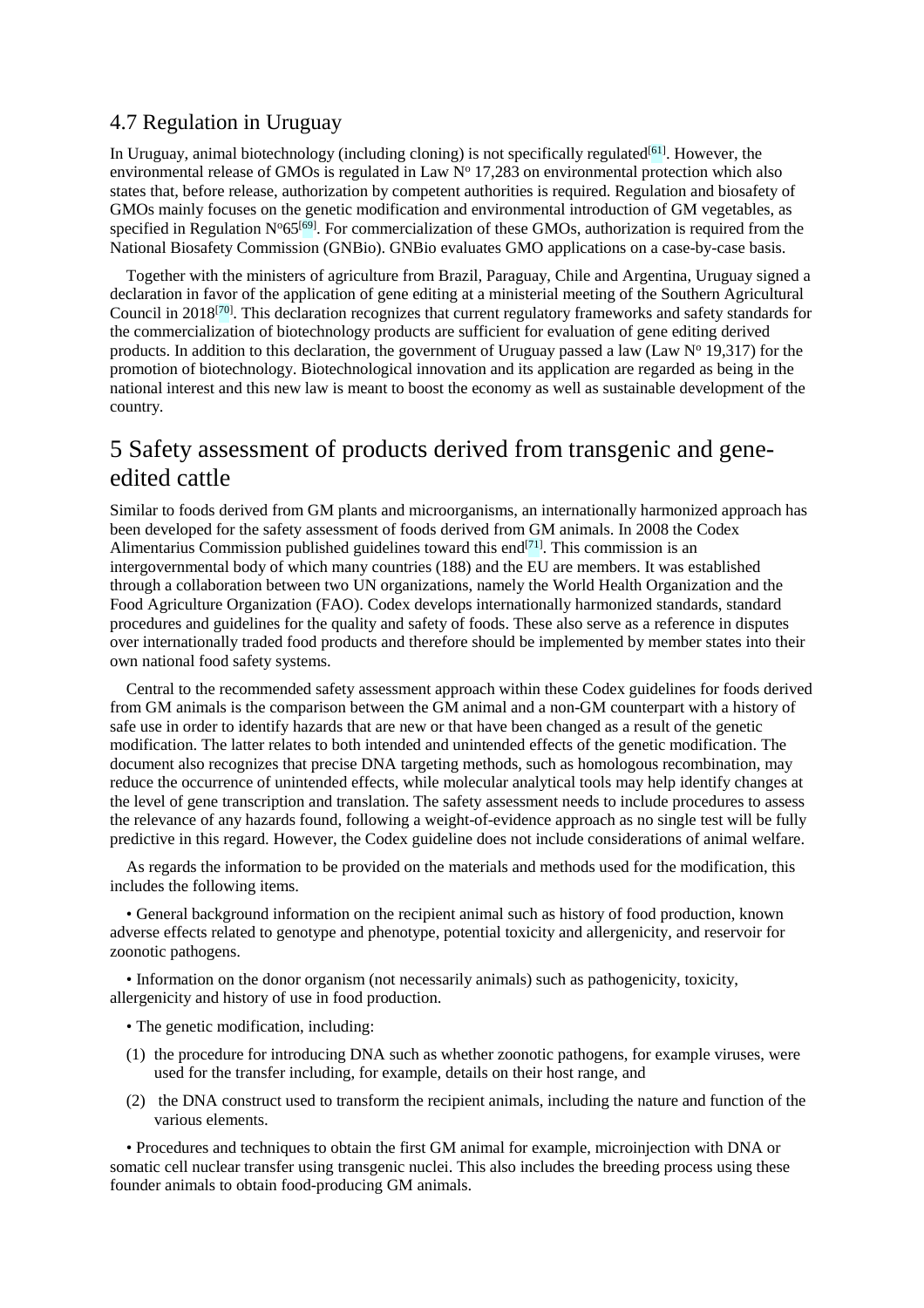#### 4.7 Regulation in Uruguay

In Uruguay, animal biotechnology (including cloning) is not specifically regulated<sup>[61]</sup>. However, the environmental release of GMOs is regulated in Law  $N^{\circ}$  17,283 on environmental protection which also states that, before release, authorization by competent authorities is required. Regulation and biosafety of GMOs mainly focuses on the genetic modification and environmental introduction of GM vegetables, as specified in Regulation N°65<sup>[69]</sup>. For commercialization of these GMOs, authorization is required from the National Biosafety Commission (GNBio). GNBio evaluates GMO applications on a case-by-case basis.

Together with the ministers of agriculture from Brazil, Paraguay, Chile and Argentina, Uruguay signed a declaration in favor of the application of gene editing at a ministerial meeting of the Southern Agricultural Council in 2018<sup>[70]</sup>. This declaration recognizes that current regulatory frameworks and safety standards for the commercialization of biotechnology products are sufficient for evaluation of gene editing derived products. In addition to this declaration, the government of Uruguay passed a law (Law  $N^{\circ}$  19,317) for the promotion of biotechnology. Biotechnological innovation and its application are regarded as being in the national interest and this new law is meant to boost the economy as well as sustainable development of the country.

## 5 Safety assessment of products derived from transgenic and geneedited cattle

Similar to foods derived from GM plants and microorganisms, an internationally harmonized approach has been developed for the safety assessment of foods derived from GM animals. In 2008 the Codex Alimentarius Commission published guidelines toward this end $[71]$ . This commission is an intergovernmental body of which many countries (188) and the EU are members. It was established through a collaboration between two UN organizations, namely the World Health Organization and the Food Agriculture Organization (FAO). Codex develops internationally harmonized standards, standard procedures and guidelines for the quality and safety of foods. These also serve as a reference in disputes over internationally traded food products and therefore should be implemented by member states into their own national food safety systems.

Central to the recommended safety assessment approach within these Codex guidelines for foods derived from GM animals is the comparison between the GM animal and a non-GM counterpart with a history of safe use in order to identify hazards that are new or that have been changed as a result of the genetic modification. The latter relates to both intended and unintended effects of the genetic modification. The document also recognizes that precise DNA targeting methods, such as homologous recombination, may reduce the occurrence of unintended effects, while molecular analytical tools may help identify changes at the level of gene transcription and translation. The safety assessment needs to include procedures to assess the relevance of any hazards found, following a weight-of-evidence approach as no single test will be fully predictive in this regard. However, the Codex guideline does not include considerations of animal welfare.

As regards the information to be provided on the materials and methods used for the modification, this includes the following items.

• General background information on the recipient animal such as history of food production, known adverse effects related to genotype and phenotype, potential toxicity and allergenicity, and reservoir for zoonotic pathogens.

• Information on the donor organism (not necessarily animals) such as pathogenicity, toxicity, allergenicity and history of use in food production.

- The genetic modification, including:
- (1) the procedure for introducing DNA such as whether zoonotic pathogens, for example viruses, were used for the transfer including, for example, details on their host range, and
- (2) the DNA construct used to transform the recipient animals, including the nature and function of the various elements.

• Procedures and techniques to obtain the first GM animal for example, microinjection with DNA or somatic cell nuclear transfer using transgenic nuclei. This also includes the breeding process using these founder animals to obtain food-producing GM animals.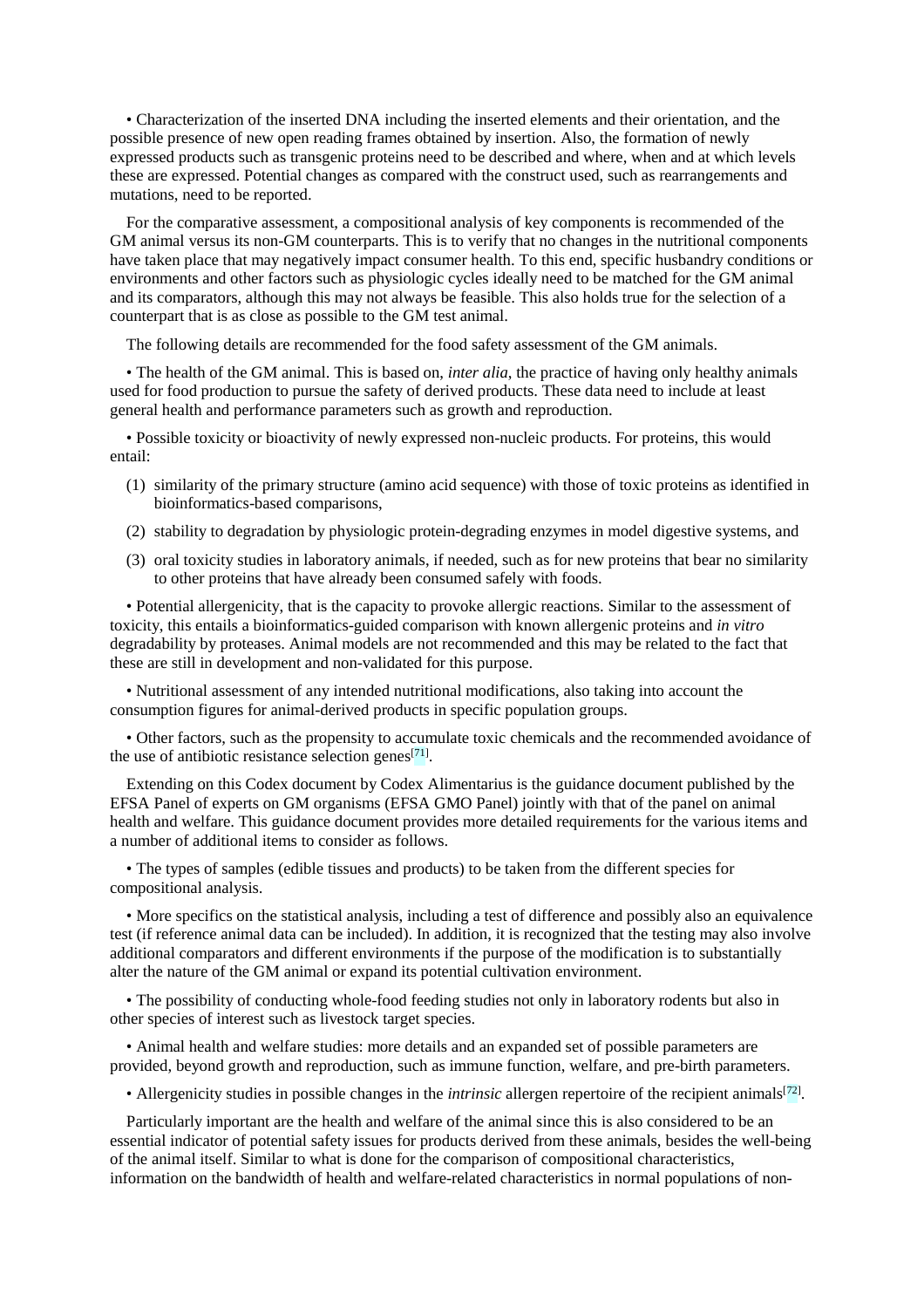• Characterization of the inserted DNA including the inserted elements and their orientation, and the possible presence of new open reading frames obtained by insertion. Also, the formation of newly expressed products such as transgenic proteins need to be described and where, when and at which levels these are expressed. Potential changes as compared with the construct used, such as rearrangements and mutations, need to be reported.

For the comparative assessment, a compositional analysis of key components is recommended of the GM animal versus its non-GM counterparts. This is to verify that no changes in the nutritional components have taken place that may negatively impact consumer health. To this end, specific husbandry conditions or environments and other factors such as physiologic cycles ideally need to be matched for the GM animal and its comparators, although this may not always be feasible. This also holds true for the selection of a counterpart that is as close as possible to the GM test animal.

The following details are recommended for the food safety assessment of the GM animals.

• The health of the GM animal. This is based on, *inter alia*, the practice of having only healthy animals used for food production to pursue the safety of derived products. These data need to include at least general health and performance parameters such as growth and reproduction.

• Possible toxicity or bioactivity of newly expressed non-nucleic products. For proteins, this would entail:

- (1) similarity of the primary structure (amino acid sequence) with those of toxic proteins as identified in bioinformatics-based comparisons,
- (2) stability to degradation by physiologic protein-degrading enzymes in model digestive systems, and
- (3) oral toxicity studies in laboratory animals, if needed, such as for new proteins that bear no similarity to other proteins that have already been consumed safely with foods.

• Potential allergenicity, that is the capacity to provoke allergic reactions. Similar to the assessment of toxicity, this entails a bioinformatics-guided comparison with known allergenic proteins and *in vitro* degradability by proteases. Animal models are not recommended and this may be related to the fact that these are still in development and non-validated for this purpose.

• Nutritional assessment of any intended nutritional modifications, also taking into account the consumption figures for animal-derived products in specific population groups.

• Other factors, such as the propensity to accumulate toxic chemicals and the recommended avoidance of the use of antibiotic resistance selection genes<sup>[71]</sup>.

Extending on this Codex document by Codex Alimentarius is the guidance document published by the EFSA Panel of experts on GM organisms (EFSA GMO Panel) jointly with that of the panel on animal health and welfare. This guidance document provides more detailed requirements for the various items and a number of additional items to consider as follows.

• The types of samples (edible tissues and products) to be taken from the different species for compositional analysis.

• More specifics on the statistical analysis, including a test of difference and possibly also an equivalence test (if reference animal data can be included). In addition, it is recognized that the testing may also involve additional comparators and different environments if the purpose of the modification is to substantially alter the nature of the GM animal or expand its potential cultivation environment.

• The possibility of conducting whole-food feeding studies not only in laboratory rodents but also in other species of interest such as livestock target species.

• Animal health and welfare studies: more details and an expanded set of possible parameters are provided, beyond growth and reproduction, such as immune function, welfare, and pre-birth parameters.

• Allergenicity studies in possible changes in the *intrinsic* allergen repertoire of the recipient animals<sup>[72]</sup>.

Particularly important are the health and welfare of the animal since this is also considered to be an essential indicator of potential safety issues for products derived from these animals, besides the well-being of the animal itself. Similar to what is done for the comparison of compositional characteristics, information on the bandwidth of health and welfare-related characteristics in normal populations of non-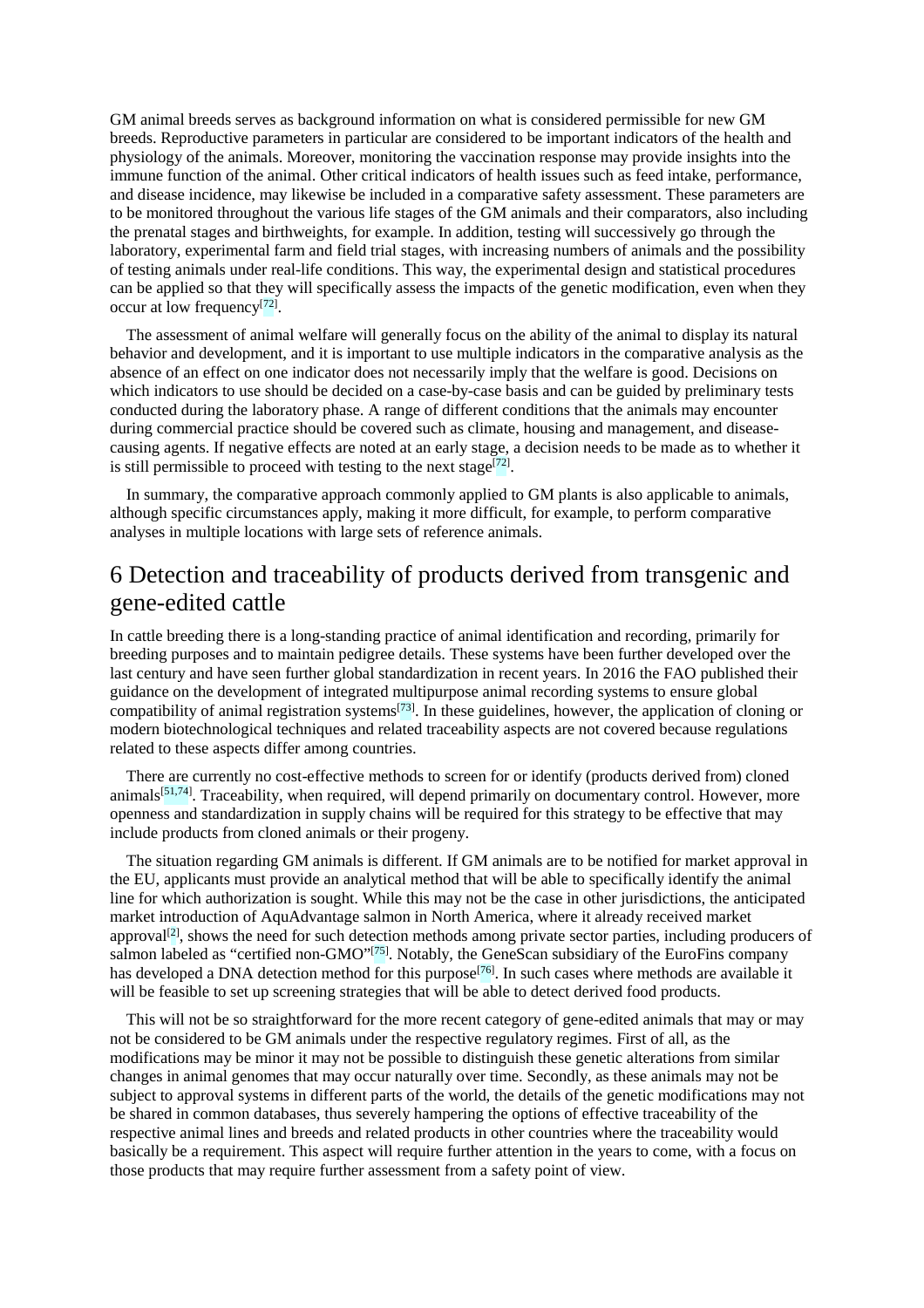GM animal breeds serves as background information on what is considered permissible for new GM breeds. Reproductive parameters in particular are considered to be important indicators of the health and physiology of the animals. Moreover, monitoring the vaccination response may provide insights into the immune function of the animal. Other critical indicators of health issues such as feed intake, performance, and disease incidence, may likewise be included in a comparative safety assessment. These parameters are to be monitored throughout the various life stages of the GM animals and their comparators, also including the prenatal stages and birthweights, for example. In addition, testing will successively go through the laboratory, experimental farm and field trial stages, with increasing numbers of animals and the possibility of testing animals under real-life conditions. This way, the experimental design and statistical procedures can be applied so that they will specifically assess the impacts of the genetic modification, even when they occur at low frequency<sup>[72]</sup>.

The assessment of animal welfare will generally focus on the ability of the animal to display its natural behavior and development, and it is important to use multiple indicators in the comparative analysis as the absence of an effect on one indicator does not necessarily imply that the welfare is good. Decisions on which indicators to use should be decided on a case-by-case basis and can be guided by preliminary tests conducted during the laboratory phase. A range of different conditions that the animals may encounter during commercial practice should be covered such as climate, housing and management, and diseasecausing agents. If negative effects are noted at an early stage, a decision needs to be made as to whether it is still permissible to proceed with testing to the next stage<sup>[72]</sup>.

In summary, the comparative approach commonly applied to GM plants is also applicable to animals, although specific circumstances apply, making it more difficult, for example, to perform comparative analyses in multiple locations with large sets of reference animals.

## 6 Detection and traceability of products derived from transgenic and gene-edited cattle

In cattle breeding there is a long-standing practice of animal identification and recording, primarily for breeding purposes and to maintain pedigree details. These systems have been further developed over the last century and have seen further global standardization in recent years. In 2016 the FAO published their guidance on the development of integrated multipurpose animal recording systems to ensure global compatibility of animal registration systems<sup>[73]</sup>. In these guidelines, however, the application of cloning or modern biotechnological techniques and related traceability aspects are not covered because regulations related to these aspects differ among countries.

There are currently no cost-effective methods to screen for or identify (products derived from) cloned animals<sup>[51,74]</sup>. Traceability, when required, will depend primarily on documentary control. However, more openness and standardization in supply chains will be required for this strategy to be effective that may include products from cloned animals or their progeny.

The situation regarding GM animals is different. If GM animals are to be notified for market approval in the EU, applicants must provide an analytical method that will be able to specifically identify the animal line for which authorization is sought. While this may not be the case in other jurisdictions, the anticipated market introduction of AquAdvantage salmon in North America, where it already received market approval<sup>[2]</sup>, shows the need for such detection methods among private sector parties, including producers of salmon labeled as "certified non-GMO"<sup>[75]</sup>. Notably, the GeneScan subsidiary of the EuroFins company has developed a DNA detection method for this purpose<sup>[76]</sup>. In such cases where methods are available it will be feasible to set up screening strategies that will be able to detect derived food products.

This will not be so straightforward for the more recent category of gene-edited animals that may or may not be considered to be GM animals under the respective regulatory regimes. First of all, as the modifications may be minor it may not be possible to distinguish these genetic alterations from similar changes in animal genomes that may occur naturally over time. Secondly, as these animals may not be subject to approval systems in different parts of the world, the details of the genetic modifications may not be shared in common databases, thus severely hampering the options of effective traceability of the respective animal lines and breeds and related products in other countries where the traceability would basically be a requirement. This aspect will require further attention in the years to come, with a focus on those products that may require further assessment from a safety point of view.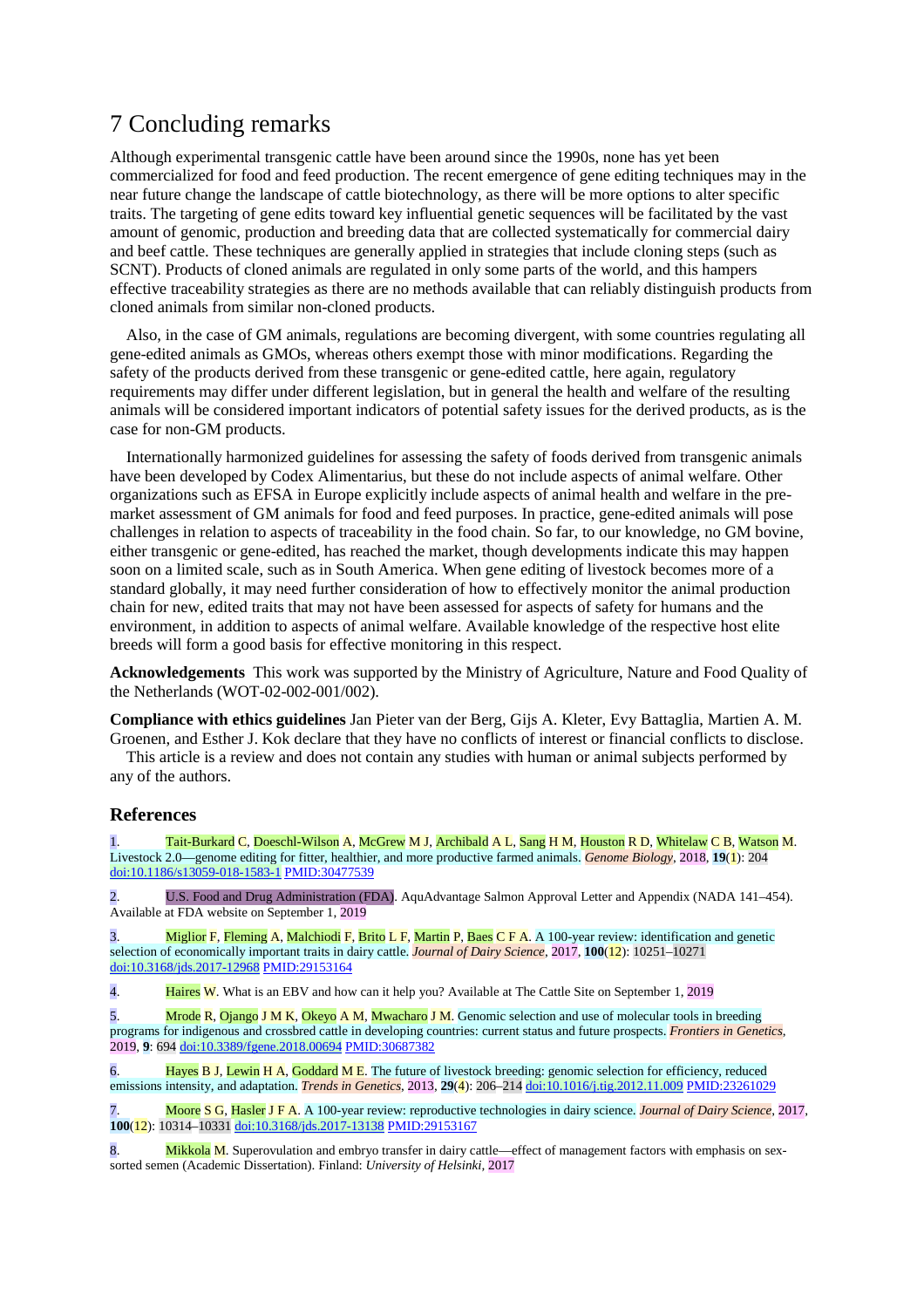## 7 Concluding remarks

Although experimental transgenic cattle have been around since the 1990s, none has yet been commercialized for food and feed production. The recent emergence of gene editing techniques may in the near future change the landscape of cattle biotechnology, as there will be more options to alter specific traits. The targeting of gene edits toward key influential genetic sequences will be facilitated by the vast amount of genomic, production and breeding data that are collected systematically for commercial dairy and beef cattle. These techniques are generally applied in strategies that include cloning steps (such as SCNT). Products of cloned animals are regulated in only some parts of the world, and this hampers effective traceability strategies as there are no methods available that can reliably distinguish products from cloned animals from similar non-cloned products.

Also, in the case of GM animals, regulations are becoming divergent, with some countries regulating all gene-edited animals as GMOs, whereas others exempt those with minor modifications. Regarding the safety of the products derived from these transgenic or gene-edited cattle, here again, regulatory requirements may differ under different legislation, but in general the health and welfare of the resulting animals will be considered important indicators of potential safety issues for the derived products, as is the case for non-GM products.

Internationally harmonized guidelines for assessing the safety of foods derived from transgenic animals have been developed by Codex Alimentarius, but these do not include aspects of animal welfare. Other organizations such as EFSA in Europe explicitly include aspects of animal health and welfare in the premarket assessment of GM animals for food and feed purposes. In practice, gene-edited animals will pose challenges in relation to aspects of traceability in the food chain. So far, to our knowledge, no GM bovine, either transgenic or gene-edited, has reached the market, though developments indicate this may happen soon on a limited scale, such as in South America. When gene editing of livestock becomes more of a standard globally, it may need further consideration of how to effectively monitor the animal production chain for new, edited traits that may not have been assessed for aspects of safety for humans and the environment, in addition to aspects of animal welfare. Available knowledge of the respective host elite breeds will form a good basis for effective monitoring in this respect.

**Acknowledgements** This work was supported by the Ministry of Agriculture, Nature and Food Quality of the Netherlands (WOT-02-002-001/002).

**Compliance with ethics guidelines** Jan Pieter van der Berg, Gijs A. Kleter, Evy Battaglia, Martien A. M. Groenen, and Esther J. Kok declare that they have no conflicts of interest or financial conflicts to disclose.

This article is a review and does not contain any studies with human or animal subjects performed by any of the authors.

#### **References**

Tait-Burkard C, Doeschl-Wilson A, McGrew M J, Archibald A L, Sang H M, Houston R D, Whitelaw C B, Watson M. Livestock 2.0—genome editing for fitter, healthier, and more productive farmed animals. *Genome Biology*, 2018, **19**(1): 204 [doi:10.1186/s13059-018-1583-1](https://doi.org/10.1186/s13059-018-1583-1) [PMID:30477539](https://doi.org/10.1186/s13059-018-1583-1)

2. U.S. Food and Drug Administration (FDA). AquAdvantage Salmon Approval Letter and Appendix (NADA 141–454). Available at FDA website on September 1, 2019

3. Miglior F, Fleming A, Malchiodi F, Brito L F, Martin P, Baes C F A. A 100-year review: identification and genetic selection of economically important traits in dairy cattle. *Journal of Dairy Science*, 2017, **100**(12): 10251–10271 [doi:10.3168/jds.2017-12968](https://doi.org/10.3168/jds.2017-12968) [PMID:29153164](https://doi.org/10.3168/jds.2017-12968)

4. Haires W. What is an EBV and how can it help you? Available at The Cattle Site on September 1, 2019

5. Mrode R, Ojango J M K, Okeyo A M, Mwacharo J M. Genomic selection and use of molecular tools in breeding programs for indigenous and crossbred cattle in developing countries: current status and future prospects. *Frontiers in Genetics*, 2019, **9**: 694 [doi:10.3389/fgene.2018.00694](https://doi.org/10.3389/fgene.2018.00694) [PMID:30687382](https://doi.org/10.3389/fgene.2018.00694)

6. Hayes B J, Lewin H A, Goddard M E. The future of livestock breeding: genomic selection for efficiency, reduced emissions intensity, and adaptation. *Trends in Genetics*, 2013, **29**(4): 206–214 [doi:10.1016/j.tig.2012.11.009](https://doi.org/10.1016/j.tig.2012.11.009) [PMID:23261029](https://doi.org/10.1016/j.tig.2012.11.009)

7. Moore S G, Hasler J F A. A 100-year review: reproductive technologies in dairy science. *Journal of Dairy Science*, 2017, **100**(12): 10314–10331 [doi:10.3168/jds.2017-13138](https://doi.org/10.3168/jds.2017-13138) [PMID:29153167](https://doi.org/10.3168/jds.2017-13138)

8. Mikkola M. Superovulation and embryo transfer in dairy cattle—effect of management factors with emphasis on sexsorted semen (Academic Dissertation). Finland: *University of Helsinki,* 2017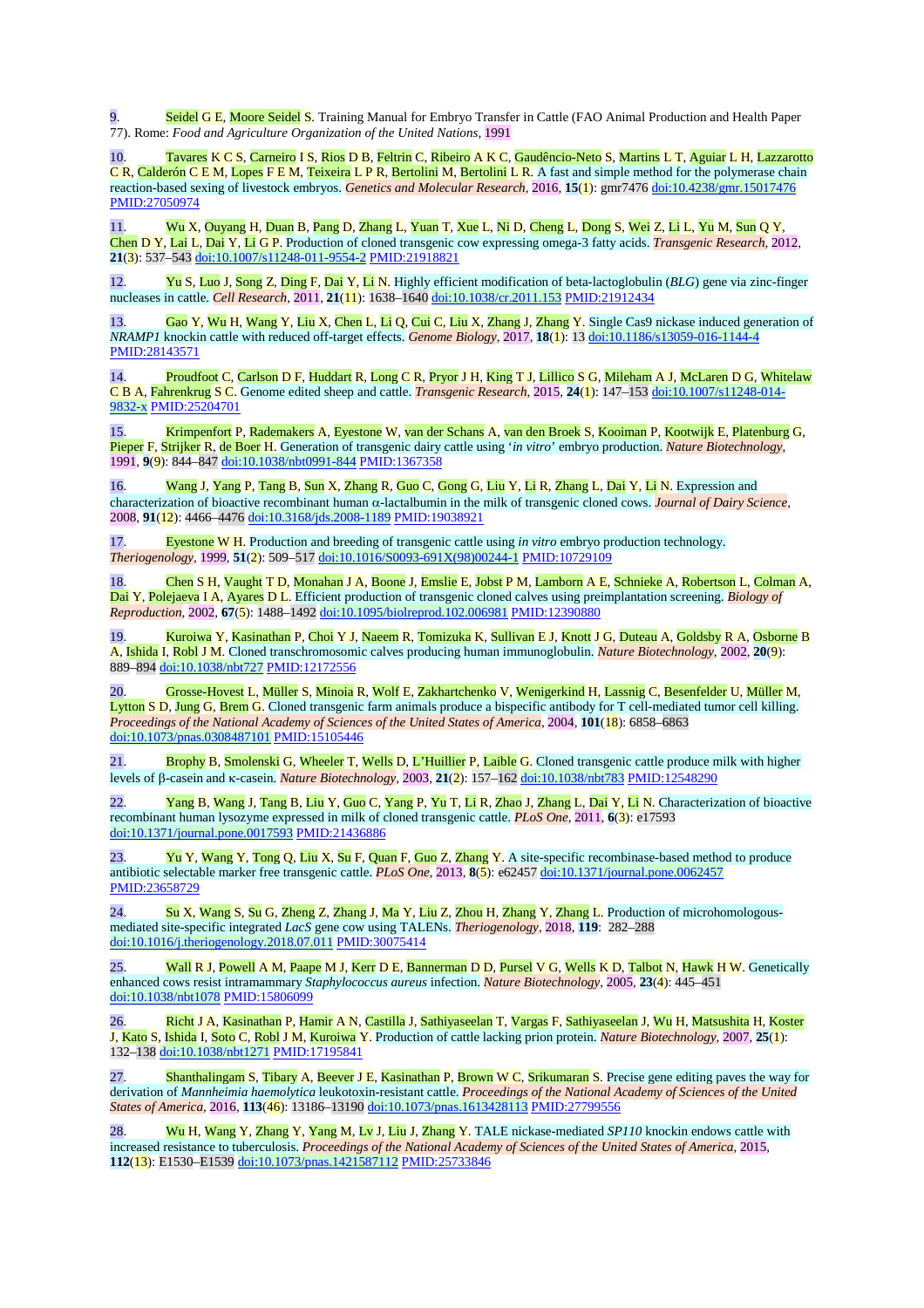Seidel G E, Moore Seidel S. Training Manual for Embryo Transfer in Cattle (FAO Animal Production and Health Paper 77). Rome: *Food and Agriculture Organization of the United Nations*, 1991

10. Tavares K C S, Carneiro I S, Rios D B, Feltrin C, Ribeiro A K C, Gaudêncio-Neto S, Martins L T, Aguiar L H, Lazzarotto C R, Calderón C E M, Lopes F E M, Teixeira L P R, Bertolini M, Bertolini L R. A fast and simple method for the polymerase chain reaction-based sexing of livestock embryos. *Genetics and Molecular Research*, 2016, **15**(1): gmr7476 [doi:10.4238/gmr.15017476](https://doi.org/10.4238/gmr.15017476) [PMID:27050974](https://www.ncbi.nlm.nih.gov/entrez/query.fcgi?cmd=Retrieve&db=PubMed&list_uids=27050974&dopt=Abstract)

11. Wu X, Ouyang H, Duan B, Pang D, Zhang L, Yuan T, Xue L, Ni D, Cheng L, Dong S, Wei Z, Li L, Yu M, Sun Q Y, Chen D Y, Lai L, Dai Y, Li G P. Production of cloned transgenic cow expressing omega-3 fatty acids. *Transgenic Research*, 2012, **21**(3): 537–543 [doi:10.1007/s11248-011-9554-2](https://doi.org/10.1007/s11248-011-9554-2) [PMID:21918821](https://doi.org/10.1007/s11248-011-9554-2)

12. Yu S, Luo J, Song Z, Ding F, Dai Y, Li N. Highly efficient modification of beta-lactoglobulin (*BLG*) gene via zinc-finger nucleases in cattle. *Cell Research*, 2011, **21**(11): 1638–1640 [doi:10.1038/cr.2011.153](https://doi.org/10.1038/cr.2011.153) [PMID:21912434](https://doi.org/10.1038/cr.2011.153)

13. Gao Y, Wu H, Wang Y, Liu X, Chen L, Li Q, Cui C, Liu X, Zhang J, Zhang Y. Single Cas9 nickase induced generation of *NRAMP1* knockin cattle with reduced off-target effects. *Genome Biology*, 2017, **18**(1): 13 [doi:10.1186/s13059-016-1144-4](https://doi.org/10.1186/s13059-016-1144-4) [PMID:28143571](https://www.ncbi.nlm.nih.gov/entrez/query.fcgi?cmd=Retrieve&db=PubMed&list_uids=28143571&dopt=Abstract)

14. Proudfoot C, Carlson D F, Huddart R, Long C R, Pryor J H, King T J, Lillico S G, Mileham A J, McLaren D G, Whitelaw C B A, Fahrenkrug S C. Genome edited sheep and cattle. *Transgenic Research*, 2015, **24**(1): 147–153 [doi:10.1007/s11248-014-](https://doi.org/10.1007/s11248-014-9832-x) [9832-x](https://doi.org/10.1007/s11248-014-9832-x) [PMID:25204701](https://www.ncbi.nlm.nih.gov/entrez/query.fcgi?cmd=Retrieve&db=PubMed&list_uids=25204701&dopt=Abstract)

15. Krimpenfort P, Rademakers A, Eyestone W, van der Schans A, van den Broek S, Kooiman P, Kootwijk E, Platenburg G, Pieper F, Strijker R, de Boer H. Generation of transgenic dairy cattle using '*in vitro*' embryo production. *Nature Biotechnology*, 1991, **9**(9): 844–847 [doi:10.1038/nbt0991-844](https://doi.org/10.1038/nbt0991-844) [PMID:1367358](https://doi.org/10.1038/nbt0991-844)

16. Wang J, Yang P, Tang B, Sun X, Zhang R, Guo C, Gong G, Liu Y, Li R, Zhang L, Dai Y, Li N. Expression and characterization of bioactive recombinant human α-lactalbumin in the milk of transgenic cloned cows. *Journal of Dairy Science*, 2008, **91**(12): 4466–4476 [doi:10.3168/jds.2008-1189](https://doi.org/10.3168/jds.2008-1189) [PMID:19038921](https://doi.org/10.3168/jds.2008-1189)

17. Eyestone W H. Production and breeding of transgenic cattle using *in vitro* embryo production technology. *Theriogenology*, 1999, **51**(2): 509–517 [doi:10.1016/S0093-691X\(98\)00244-1](https://doi.org/10.1016/S0093-691X(98)00244-1) [PMID:10729109](https://doi.org/10.1016/S0093-691X(98)00244-1)

18. Chen S H, Vaught T D, Monahan J A, Boone J, Emslie E, Jobst P M, Lamborn A E, Schnieke A, Robertson L, Colman A, Dai Y, Polejaeva I A, Ayares D L. Efficient production of transgenic cloned calves using preimplantation screening. *Biology of Reproduction*, 2002, **67**(5): 1488–1492 [doi:10.1095/biolreprod.102.006981](https://doi.org/10.1095/biolreprod.102.006981) [PMID:12390880](https://doi.org/10.1095/biolreprod.102.006981)

19. Kuroiwa Y, Kasinathan P, Choi Y J, Naeem R, Tomizuka K, Sullivan E J, Knott J G, Duteau A, Goldsby R A, Osborne B A, Ishida I, Robl J M. Cloned transchromosomic calves producing human immunoglobulin. *Nature Biotechnology*, 2002, **20**(9): 889–894 [doi:10.1038/nbt727](https://doi.org/10.1038/nbt727) [PMID:12172556](https://doi.org/10.1038/nbt727)

20. Grosse-Hovest L, Müller S, Minoia R, Wolf E, Zakhartchenko V, Wenigerkind H, Lassnig C, Besenfelder U, Müller M, Lytton S D, Jung G, Brem G. Cloned transgenic farm animals produce a bispecific antibody for T cell-mediated tumor cell killing. *Proceedings of the National Academy of Sciences of the United States of America*, 2004, **101**(18): 6858–6863 [doi:10.1073/pnas.0308487101](https://doi.org/10.1073/pnas.0308487101) [PMID:15105446](https://doi.org/10.1073/pnas.0308487101)

21. Brophy B, Smolenski G, Wheeler T, Wells D, L'Huillier P, Laible G. Cloned transgenic cattle produce milk with higher levels of β-casein and κ-casein. *Nature Biotechnology*, 2003, **21**(2): 157–162 [doi:10.1038/nbt783](https://doi.org/10.1038/nbt783) [PMID:12548290](https://doi.org/10.1038/nbt783)

22. Yang B, Wang J, Tang B, Liu Y, Guo C, Yang P, Yu T, Li R, Zhao J, Zhang L, Dai Y, Li N. Characterization of bioactive recombinant human lysozyme expressed in milk of cloned transgenic cattle. *PLoS One*, 2011, **6**(3): e17593 [doi:10.1371/journal.pone.0017593](https://doi.org/10.1371/journal.pone.0017593) [PMID:21436886](https://doi.org/10.1371/journal.pone.0017593)

23. Yu Y, Wang Y, Tong Q, Liu X, Su F, Quan F, Guo Z, Zhang Y. A site-specific recombinase-based method to produce antibiotic selectable marker free transgenic cattle. *PLoS One*, 2013, **8**(5): e62457 [doi:10.1371/journal.pone.0062457](https://doi.org/10.1371/journal.pone.0062457) [PMID:23658729](https://www.ncbi.nlm.nih.gov/entrez/query.fcgi?cmd=Retrieve&db=PubMed&list_uids=23658729&dopt=Abstract)

24. Su X, Wang S, Su G, Zheng Z, Zhang J, Ma Y, Liu Z, Zhou H, Zhang Y, Zhang L. Production of microhomologousmediated site-specific integrated *LacS* gene cow using TALENs. *Theriogenology*, 2018, **119**: 282–288 [doi:10.1016/j.theriogenology.2018.07.011](https://doi.org/10.1016/j.theriogenology.2018.07.011) [PMID:30075414](https://doi.org/10.1016/j.theriogenology.2018.07.011)

25. Wall R J, Powell A M, Paape M J, Kerr D E, Bannerman D D, Pursel V G, Wells K D, Talbot N, Hawk H W. Genetically enhanced cows resist intramammary *Staphylococcus aureus* infection. *Nature Biotechnology*, 2005, **23**(4): 445–451 [doi:10.1038/nbt1078](https://doi.org/10.1038/nbt1078) [PMID:15806099](https://doi.org/10.1038/nbt1078)

26. Richt J A, Kasinathan P, Hamir A N, Castilla J, Sathiyaseelan T, Vargas F, Sathiyaseelan J, Wu H, Matsushita H, Koster J, Kato S, Ishida I, Soto C, Robl J M, Kuroiwa Y. Production of cattle lacking prion protein. *Nature Biotechnology*, 2007, **25**(1): 132–138 [doi:10.1038/nbt1271](https://doi.org/10.1038/nbt1271) [PMID:17195841](https://doi.org/10.1038/nbt1271)

Shanthalingam S, Tibary A, Beever J E, Kasinathan P, Brown W C, Srikumaran S. Precise gene editing paves the way for derivation of *Mannheimia haemolytica* leukotoxin-resistant cattle. *Proceedings of the National Academy of Sciences of the United States of America*, 2016, **113**(46): 13186–13190 [doi:10.1073/pnas.1613428113](https://doi.org/10.1073/pnas.1613428113) [PMID:27799556](https://doi.org/10.1073/pnas.1613428113)

28. Wu H, Wang Y, Zhang Y, Yang M, Lv J, Liu J, Zhang Y. TALE nickase-mediated *SP110* knockin endows cattle with increased resistance to tuberculosis. *Proceedings of the National Academy of Sciences of the United States of America*, 2015, **112**(13): E1530–E1539 [doi:10.1073/pnas.1421587112](https://doi.org/10.1073/pnas.1421587112) [PMID:25733846](https://doi.org/10.1073/pnas.1421587112)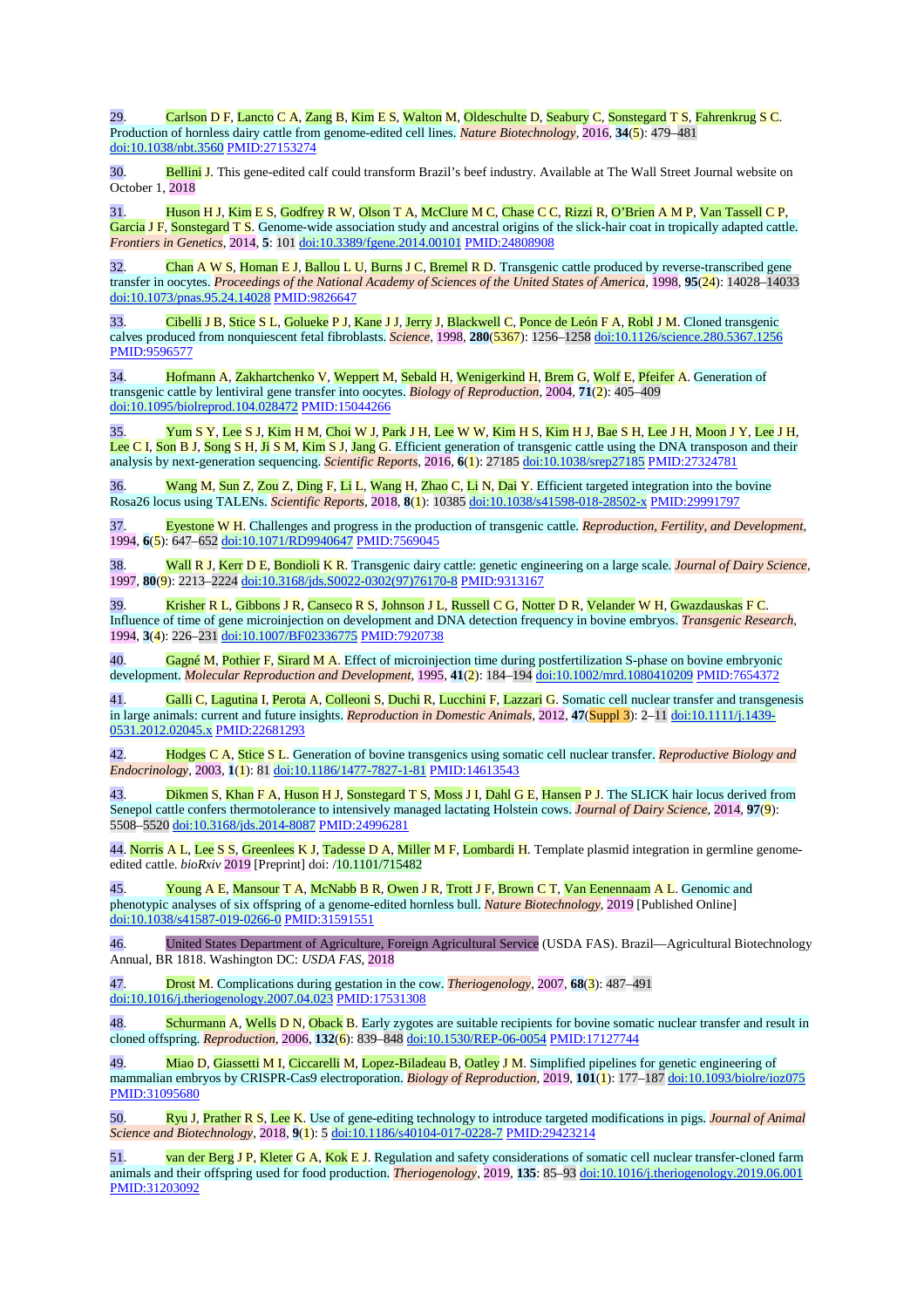29. Carlson D F, Lancto C A, Zang B, Kim E S, Walton M, Oldeschulte D, Seabury C, Sonstegard T S, Fahrenkrug S C. Production of hornless dairy cattle from genome-edited cell lines. *Nature Biotechnology*, 2016, **34**(5): 479–481 [doi:10.1038/nbt.3560](https://doi.org/10.1038/nbt.3560) [PMID:27153274](https://doi.org/10.1038/nbt.3560)

30. Bellini J. This gene-edited calf could transform Brazil's beef industry. Available at The Wall Street Journal website on October 1, 2018

31. Huson H J, Kim E S, Godfrey R W, Olson T A, McClure M C, Chase C C, Rizzi R, O'Brien A M P, Van Tassell C P, Garcia J F, Sonstegard T S. Genome-wide association study and ancestral origins of the slick-hair coat in tropically adapted cattle. *Frontiers in Genetics*, 2014, **5**: 101 [doi:10.3389/fgene.2014.00101](https://doi.org/10.3389/fgene.2014.00101) [PMID:24808908](https://doi.org/10.3389/fgene.2014.00101)

 $\overline{Chan}$  A W S, Homan E J, Ballou L U, Burns J C, Bremel R D. Transgenic cattle produced by reverse-transcribed gene transfer in oocytes. *Proceedings of the National Academy of Sciences of the United States of America*, 1998, **95**(24): 14028–14033 [doi:10.1073/pnas.95.24.14028](https://doi.org/10.1073/pnas.95.24.14028) [PMID:9826647](https://doi.org/10.1073/pnas.95.24.14028)

Cibelli J B, Stice S L, Golueke P J, Kane J J, Jerry J, Blackwell C, Ponce de León F A, Robl J M. Cloned transgenic calves produced from nonquiescent fetal fibroblasts. *Science*, 1998, **280**(5367): 1256–1258 [doi:10.1126/science.280.5367.1256](https://doi.org/10.1126/science.280.5367.1256) [PMID:9596577](https://www.ncbi.nlm.nih.gov/entrez/query.fcgi?cmd=Retrieve&db=PubMed&list_uids=9596577&dopt=Abstract)

34. Hofmann A, Zakhartchenko V, Weppert M, Sebald H, Wenigerkind H, Brem G, Wolf E, Pfeifer A. Generation of transgenic cattle by lentiviral gene transfer into oocytes. *Biology of Reproduction*, 2004, **71**(2): 405–409 [doi:10.1095/biolreprod.104.028472](https://doi.org/10.1095/biolreprod.104.028472) [PMID:15044266](https://doi.org/10.1095/biolreprod.104.028472)

35. Yum S Y, Lee S J, Kim H M, Choi W J, Park J H, Lee W W, Kim H S, Kim H J, Bae S H, Lee J H, Moon J Y, Lee J H, Lee C I, Son B J, Song S H, Ji S M, Kim S J, Jang G. Efficient generation of transgenic cattle using the DNA transposon and their analysis by next-generation sequencing. *Scientific Reports*, 2016, **6**(1): 27185 [doi:10.1038/srep27185](https://doi.org/10.1038/srep27185) [PMID:27324781](https://doi.org/10.1038/srep27185)

36. Wang M, Sun Z, Zou Z, Ding F, Li L, Wang H, Zhao C, Li N, Dai Y. Efficient targeted integration into the bovine Rosa26 locus using TALENs. *Scientific Reports*, 2018, **8**(1): 10385 [doi:10.1038/s41598-018-28502-x](https://doi.org/10.1038/s41598-018-28502-x) [PMID:29991797](https://doi.org/10.1038/s41598-018-28502-x)

37. Eyestone W H. Challenges and progress in the production of transgenic cattle. *Reproduction, Fertility, and Development*, 1994, **6**(5): 647–652 [doi:10.1071/RD9940647](https://doi.org/10.1071/RD9940647) [PMID:7569045](https://doi.org/10.1071/RD9940647)

38. Wall R J, Kerr D E, Bondioli K R. Transgenic dairy cattle: genetic engineering on a large scale. *Journal of Dairy Science*, 1997, **80**(9): 2213–2224 [doi:10.3168/jds.S0022-0302\(97\)76170-8](https://doi.org/10.3168/jds.S0022-0302(97)76170-8) [PMID:9313167](https://doi.org/10.3168/jds.S0022-0302(97)76170-8)

39. Krisher R L, Gibbons J R, Canseco R S, Johnson J L, Russell C G, Notter D R, Velander W H, Gwazdauskas F C. Influence of time of gene microinjection on development and DNA detection frequency in bovine embryos. *Transgenic Research*, 1994, **3**(4): 226–231 [doi:10.1007/BF02336775](https://doi.org/10.1007/BF02336775) [PMID:7920738](https://doi.org/10.1007/BF02336775)

40. Gagné M, Pothier F, Sirard M A. Effect of microinjection time during postfertilization S-phase on bovine embryonic development. *Molecular Reproduction and Development*, 1995, **41**(2): 184–194 [doi:10.1002/mrd.1080410209](https://doi.org/10.1002/mrd.1080410209) [PMID:7654372](https://doi.org/10.1002/mrd.1080410209)

41. Galli C, Lagutina I, Perota A, Colleoni S, Duchi R, Lucchini F, Lazzari G. Somatic cell nuclear transfer and transgenesis in large animals: current and future insights. *Reproduction in Domestic Animals*, 2012, **47**(Suppl 3): 2–11 [doi:10.1111/j.1439-](https://doi.org/10.1111/j.1439-0531.2012.02045.x) [0531.2012.02045.x](https://doi.org/10.1111/j.1439-0531.2012.02045.x) [PMID:22681293](https://www.ncbi.nlm.nih.gov/entrez/query.fcgi?cmd=Retrieve&db=PubMed&list_uids=22681293&dopt=Abstract)

42. Hodges C A, Stice S L. Generation of bovine transgenics using somatic cell nuclear transfer. *Reproductive Biology and Endocrinology*, 2003, **1**(1): 81 [doi:10.1186/1477-7827-1-81](https://doi.org/10.1186/1477-7827-1-81) [PMID:14613543](https://doi.org/10.1186/1477-7827-1-81)

43. Dikmen S, Khan F A, Huson H J, Sonstegard T S, Moss J I, Dahl G E, Hansen P J. The SLICK hair locus derived from Senepol cattle confers thermotolerance to intensively managed lactating Holstein cows. *Journal of Dairy Science*, 2014, **97**(9): 5508–5520 [doi:10.3168/jds.2014-8087](https://doi.org/10.3168/jds.2014-8087) [PMID:24996281](https://doi.org/10.3168/jds.2014-8087)

44. Norris A L, Lee S S, Greenlees K J, Tadesse D A, Miller M F, Lombardi H. Template plasmid integration in germline genomeedited cattle. *bioRxiv* 2019 [Preprint] doi: /10.1101/715482

45. Young A E, Mansour T A, McNabb B R, Owen J R, Trott J F, Brown C T, Van Eenennaam A L. Genomic and phenotypic analyses of six offspring of a genome-edited hornless bull. *Nature Biotechnology*, 2019 [Published Online] [doi:10.1038/s41587-019-0266-0](https://doi.org/10.1038/s41587-019-0266-0) [PMID:31591551](https://doi.org/10.1038/s41587-019-0266-0)

46. United States Department of Agriculture, Foreign Agricultural Service (USDA FAS). Brazil—Agricultural Biotechnology Annual, BR 1818. Washington DC: *USDA FAS*, 2018

47. Drost M. Complications during gestation in the cow. *Theriogenology*, 2007, **68**(3): 487–491 [doi:10.1016/j.theriogenology.2007.04.023](https://doi.org/10.1016/j.theriogenology.2007.04.023) [PMID:17531308](https://doi.org/10.1016/j.theriogenology.2007.04.023)

48. Schurmann A, Wells D N, Oback B. Early zygotes are suitable recipients for bovine somatic nuclear transfer and result in cloned offspring. *Reproduction*, 2006, **132**(6): 839–848 [doi:10.1530/REP-06-0054](https://doi.org/10.1530/REP-06-0054) [PMID:17127744](https://doi.org/10.1530/REP-06-0054)

49. Miao D, Giassetti M I, Ciccarelli M, Lopez-Biladeau B, Oatley J M. Simplified pipelines for genetic engineering of mammalian embryos by CRISPR-Cas9 electroporation. *Biology of Reproduction*, 2019, **101**(1): 177–187 [doi:10.1093/biolre/ioz075](https://doi.org/10.1093/biolre/ioz075) [PMID:31095680](https://www.ncbi.nlm.nih.gov/entrez/query.fcgi?cmd=Retrieve&db=PubMed&list_uids=31095680&dopt=Abstract)

50. Ryu J, Prather R S, Lee K. Use of gene-editing technology to introduce targeted modifications in pigs. *Journal of Animal Science and Biotechnology*, 2018, **9**(1): 5 [doi:10.1186/s40104-017-0228-7](https://doi.org/10.1186/s40104-017-0228-7) [PMID:29423214](https://doi.org/10.1186/s40104-017-0228-7)

51. van der Berg J P, Kleter G A, Kok E J. Regulation and safety considerations of somatic cell nuclear transfer-cloned farm animals and their offspring used for food production. *Theriogenology*, 2019, **135**: 85–93 [doi:10.1016/j.theriogenology.2019.06.001](https://doi.org/10.1016/j.theriogenology.2019.06.001) [PMID:31203092](https://www.ncbi.nlm.nih.gov/entrez/query.fcgi?cmd=Retrieve&db=PubMed&list_uids=31203092&dopt=Abstract)